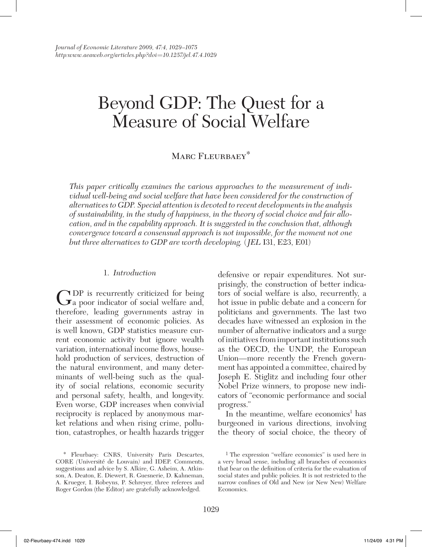# Beyond GDP: The Quest for a Measure of Social Welfare

## MARC FLEURBAEY\*

*This paper critically examines the various approaches to the measurement of individual well-being and social welfare that have been considered for the construction of alternatives to GDP. Special attention is devoted to recent developments in the analysis of sustainability, in the study of happiness, in the theory of social choice and fair allocation, and in the capability approach. It is suggested in the conclusion that, although convergence toward a consensual approach is not impossible, for the moment not one but three alternatives to GDP are worth developing.* ( *JEL* I31, E23, E01)

## 1. *Introduction*

GDP is recurrently criticized for being<br>a poor indicator of social welfare and, therefore, leading governments astray in their assessment of economic policies. As is well known, GDP statistics measure current economic activity but ignore wealth variation, international income flows, household production of services, destruction of the natural environment, and many determinants of well-being such as the quality of social relations, economic security and personal safety, health, and longevity. Even worse, GDP increases when convivial reciprocity is replaced by anonymous market relations and when rising crime, pollution, catastrophes, or health hazards trigger

\* Fleurbaey: CNRS, University Paris Descartes, CORE *(*Université de Louvain*)* and IDEP. Comments, suggestions and advice by S. Alkire, G. Asheim, A. Atkinson, A. Deaton, E. Diewert, R. Guesnerie, D. Kahneman, A. Krueger, I. Robeyns, P. Schreyer, three referees and Roger Gordon (the Editor) are gratefully acknowledged.

defensive or repair expenditures. Not surprisingly, the construction of better indicators of social welfare is also, recurrently, a hot issue in public debate and a concern for politicians and governments. The last two decades have witnessed an explosion in the number of alternative indicators and a surge of initiatives from important institutions such as the OECD, the UNDP, the European Union—more recently the French government has appointed a committee, chaired by Joseph E. Stiglitz and including four other Nobel Prize winners, to propose new indicators of "economic performance and social progress."

In the meantime, welfare economics<sup>1</sup> has burgeoned in various directions, involving the theory of social choice, the theory of

<sup>1</sup> The expression "welfare economics" is used here in a very broad sense, including all branches of economics that bear on the definition of criteria for the evaluation of social states and public policies. It is not restricted to the narrow confines of Old and New (or New New) Welfare Economics.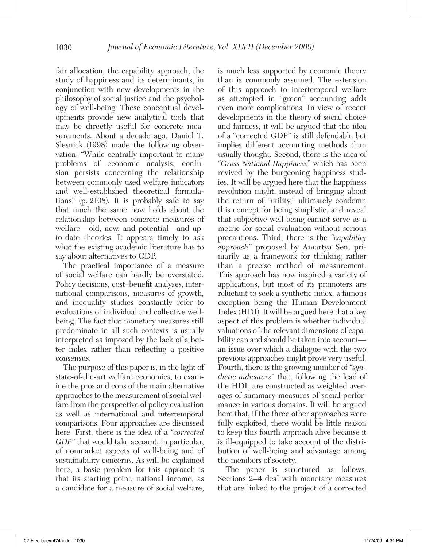fair allocation, the capability approach, the study of happiness and its determinants, in conjunction with new developments in the philosophy of social justice and the psychology of well-being. These conceptual developments provide new analytical tools that may be directly useful for concrete measurements. About a decade ago, Daniel T. Slesnick (1998) made the following observation: "While centrally important to many problems of economic analysis, confusion persists concerning the relationship between commonly used welfare indicators and well-established theoretical formulations" (p. 2108). It is probably safe to say that much the same now holds about the relationship between concrete measures of welfare—old, new, and potential—and upto-date theories. It appears timely to ask what the existing academic literature has to say about alternatives to GDP.

The practical importance of a measure of social welfare can hardly be overstated. Policy decisions, cost–benefit analyses, international comparisons, measures of growth, and inequality studies constantly refer to evaluations of individual and collective wellbeing. The fact that monetary measures still predominate in all such contexts is usually interpreted as imposed by the lack of a better index rather than reflecting a positive consensus.

The purpose of this paper is, in the light of state-of-the-art welfare economics, to examine the pros and cons of the main alternative approaches to the measurement of social welfare from the perspective of policy evaluation as well as international and intertemporal comparisons. Four approaches are discussed here. First, there is the idea of a "*corrected GDP*" that would take account, in particular, of nonmarket aspects of well-being and of sustainability concerns. As will be explained here, a basic problem for this approach is that its starting point, national income, as a candidate for a measure of social welfare, is much less supported by economic theory than is commonly assumed. The extension of this approach to intertemporal welfare as attempted in "green" accounting adds even more complications. In view of recent developments in the theory of social choice and fairness, it will be argued that the idea of a "corrected GDP" is still defendable but implies different accounting methods than usually thought. Second, there is the idea of "*Gross National Happiness*," which has been revived by the burgeoning happiness studies. It will be argued here that the happiness revolution might, instead of bringing about the return of "utility," ultimately condemn this concept for being simplistic, and reveal that subjective well-being cannot serve as a metric for social evaluation without serious precautions. Third, there is the "*capability approach*" proposed by Amartya Sen, primarily as a framework for thinking rather than a precise method of measurement. This approach has now inspired a variety of applications, but most of its promoters are reluctant to seek a synthetic index, a famous exception being the Human Development Index (HDI). It will be argued here that a key aspect of this problem is whether individual valuations of the relevant dimensions of capability can and should be taken into account an issue over which a dialogue with the two previous approaches might prove very useful. Fourth, there is the growing number of "*synthetic indicators*" that, following the lead of the HDI, are constructed as weighted averages of summary measures of social performance in various domains. It will be argued here that, if the three other approaches were fully exploited, there would be little reason to keep this fourth approach alive because it is ill-equipped to take account of the distribution of well-being and advantage among the members of society.

The paper is structured as follows. Sections 2–4 deal with monetary measures that are linked to the project of a corrected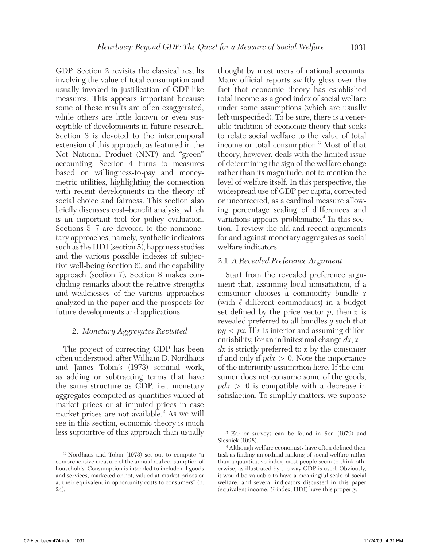GDP. Section 2 revisits the classical results involving the value of total consumption and usually invoked in justification of GDP-like measures. This appears important because some of these results are often exaggerated, while others are little known or even susceptible of developments in future research. Section 3 is devoted to the intertemporal extension of this approach, as featured in the Net National Product (NNP) and "green" accounting. Section 4 turns to measures based on willingness-to-pay and moneymetric utilities, highlighting the connection with recent developments in the theory of social choice and fairness. This section also briefly discusses cost–benefit analysis, which is an important tool for policy evaluation. Sections 5–7 are devoted to the nonmonetary approaches, namely, synthetic indicators such asthe HDI(section 5), happiness studies and the various possible indexes of subjective well-being (section 6), and the capability approach (section 7). Section 8 makes concluding remarks about the relative strengths and weaknesses of the various approaches analyzed in the paper and the prospects for future developments and applications.

#### 2. *Monetary Aggregates Revisited*

The project of correcting GDP has been often understood, after William D. Nordhaus and James Tobin's (1973) seminal work, as adding or subtracting terms that have the same structure as GDP, i.e., monetary aggregates computed as quantities valued at market prices or at imputed prices in case market prices are not available.<sup>2</sup> As we will see in this section, economic theory is much less supportive of this approach than usually

thought by most users of national accounts. Many official reports swiftly gloss over the fact that economic theory has established total income as a good index of social welfare under some assumptions (which are usually left unspecified). To be sure, there is a venerable tradition of economic theory that seeks to relate social welfare to the value of total income or total consumption.3 Most of that theory, however, deals with the limited issue of determining the sign of the welfare change rather than its magnitude, not to mention the level of welfare itself. In this perspective, the widespread use of GDP per capita, corrected or uncorrected, as a cardinal measure allowing percentage scaling of differences and variations appears problematic.<sup>4</sup> In this section, I review the old and recent arguments for and against monetary aggregates as social welfare indicators.

#### 2.1 *A Revealed Preference Argument*

Start from the revealed preference argument that, assuming local nonsatiation, if a consumer chooses a commodity bundle *x* (with  $\ell$  different commodities) in a budget set defined by the price vector  $p$ , then  $x$  is revealed preferred to all bundles *y* such that  $py < px$ . If *x* is interior and assuming differentiability, for an infinitesimal change  $dx$ ,  $x +$ *dx* is strictly preferred to *x* by the consumer if and only if *pdx* > 0. Note the importance of the interiority assumption here. If the consumer does not consume some of the goods,  $pdx > 0$  is compatible with a decrease in satisfaction. To simplify matters, we suppose

<sup>2</sup> Nordhaus and Tobin (1973) set out to compute "a comprehensive measure of the annual real consumption of households. Consumption is intended to include all goods and services, marketed or not, valued at market prices or at their equivalent in opportunity costs to consumers" (p. 24).

<sup>3</sup> Earlier surveys can be found in Sen (1979) and Slesnick (1998).

<sup>4</sup> Although welfare economists have often defined their task as finding an ordinal ranking of social welfare rather than a quantitative index, most people seem to think otherwise, as illustrated by the way GDP is used. Obviously, it would be valuable to have a meaningful scale of social welfare, and several indicators discussed in this paper (equivalent income, *U*-index, HDI) have this property.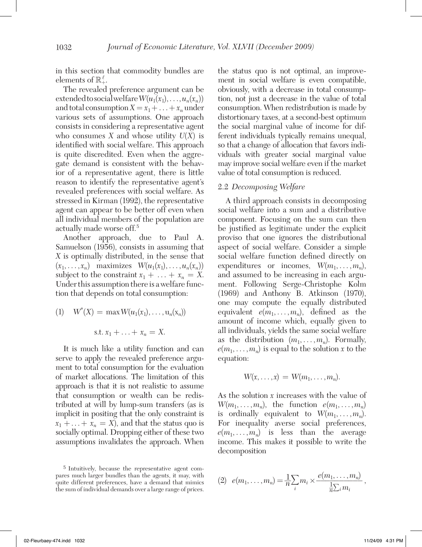in this section that commodity bundles are elements of  $\mathbb{R}^{\ell}_+$ .

The revealed preference argument can be extended to social welfare  $W(u_1(x_1),...,u_n(x_n))$ and total consumption  $X = x_1 + \ldots + x_n$  under various sets of assumptions. One approach consists in considering a representative agent who consumes *X* and whose utility  $U(X)$  is identified with social welfare. This approach is quite discredited. Even when the aggregate demand is consistent with the behavior of a representative agent, there is little reason to identify the representative agent's revealed preferences with social welfare. As stressed in Kirman (1992), the representative agent can appear to be better off even when all individual members of the population are actually made worse off.<sup>5</sup>

Another approach, due to Paul A. Samuelson (1956), consists in assuming that *X* is optimally distributed, in the sense that  $(x_1, \ldots, x_n)$  maximizes  $W(u_1(x_1), \ldots, u_n(x_n))$ subject to the constraint  $x_1 + \ldots + x_n = X$ . Under this assumption there is a welfare function that depends on total consumption:

(1) 
$$
W^*(X) = \max W(u_1(x_1), ..., u_n(x_n))
$$
  
s.t.  $x_1 + ... + x_n = X$ .

It is much like a utility function and can serve to apply the revealed preference argument to total consumption for the evaluation of market allocations. The limitation of this approach is that it is not realistic to assume that consumption or wealth can be redistributed at will by lump-sum transfers (as is implicit in positing that the only constraint is  $x_1 + \ldots + x_n = X$ , and that the status quo is socially optimal. Dropping either of these two assumptions invalidates the approach. When

the status quo is not optimal, an improvement in social welfare is even compatible, obviously, with a decrease in total consumption, not just a decrease in the value of total consumption. When redistribution is made by distortionary taxes, at a second-best optimum the social marginal value of income for different individuals typically remains unequal, so that a change of allocation that favors individuals with greater social marginal value may improve social welfare even if the market value of total consumption is reduced.

## 2.2 *Decomposing Welfare*

A third approach consists in decomposing social welfare into a sum and a distributive component. Focusing on the sum can then be justified as legitimate under the explicit proviso that one ignores the distributional aspect of social welfare. Consider a simple social welfare function defined directly on expenditures or incomes,  $W(m_1, \ldots, m_n)$ , and assumed to be increasing in each argument. Following Serge-Christophe Kolm (1969) and Anthony B. Atkinson (1970), one may compute the equally distributed equivalent  $e(m_1, \ldots, m_n)$ , defined as the amount of income which, equally given to all individuals, yields the same social welfare as the distribution  $(m_1, \ldots, m_n)$ . Formally,  $e(m_1, \ldots, m_n)$  is equal to the solution *x* to the equation:

$$
W(x,\ldots,x)=W(m_1,\ldots,m_n).
$$

As the solution *x* increases with the value of  $W(m_1, \ldots, m_n)$ , the function  $e(m_1, \ldots, m_n)$ is ordinally equivalent to  $W(m_1, \ldots, m_n)$ . For inequality averse social preferences,  $e(m_1, \ldots, m_n)$  is less than the average income. This makes it possible to write the decomposition

(2) 
$$
e(m_1,...,m_n) = \frac{1}{n} \sum_i m_i \times \frac{e(m_1,...,m_n)}{\frac{1}{n} \sum_i m_i}
$$
,

<sup>5</sup> Intuitively, because the representative agent compares much larger bundles than the agents, it may, with quite different preferences, have a demand that mimics the sum of individual demands over a large range of prices.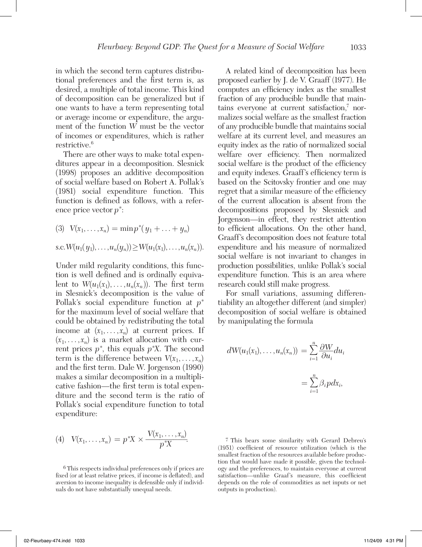in which the second term captures distributional preferences and the first term is, as desired, a multiple of total income. This kind of decomposition can be generalized but if one wants to have a term representing total or average income or expenditure, the argument of the function *W* must be the vector of incomes or expenditures, which is rather restrictive.<sup>6</sup>

There are other ways to make total expenditures appear in a decomposition. Slesnick (1998) proposes an additive decomposition of social welfare based on Robert A. Pollak's (1981) social expenditure function. This function is defined as follows, with a reference price vector *p*\*:

(3) 
$$
V(x_1,...,x_n) = \min p^*(y_1 + ... + y_n)
$$

s.c.  $W(u_1(y_1), \ldots, u_n(y_n)) \geq W(u_1(x_1), \ldots, u_n(x_n)).$ 

Under mild regularity conditions, this function is well defined and is ordinally equivalent to  $W(u_1(x_1), \ldots, u_n(x_n))$ . The first term in Slesnick's decomposition is the value of Pollak's social expenditure function at *p*\* for the maximum level of social welfare that could be obtained by redistributing the total income at  $(x_1, \ldots, x_n)$  at current prices. If  $(x_1, \ldots, x_n)$  is a market allocation with current prices  $p^*$ , this equals  $p^*X$ . The second term is the difference between  $V(x_1, \ldots, x_n)$ and the first term. Dale W. Jorgenson (1990) makes a similar decomposition in a multiplicative fashion—the first term is total expenditure and the second term is the ratio of Pollak's social expenditure function to total expenditure:

(4) 
$$
V(x_1,...,x_n) = p^*X \times \frac{V(x_1,...,x_n)}{p^*X}
$$

6 This respects individual preferences only if prices are fixed (or at least relative prices, if income is deflated), and aversion to income inequality is defensible only if individuals do not have substantially unequal needs.

A related kind of decomposition has been proposed earlier by J. de V. Graaff (1977). He computes an efficiency index as the smallest fraction of any producible bundle that maintains everyone at current satisfaction, $\frac{7}{1}$  normalizes social welfare as the smallest fraction of any producible bundle that maintains social welfare at its current level, and measures an equity index as the ratio of normalized social welfare over efficiency. Then normalized social welfare is the product of the efficiency and equity indexes. Graaff's efficiency term is based on the Scitovsky frontier and one may regret that a similar measure of the efficiency of the current allocation is absent from the decompositions proposed by Slesnick and Jorgenson—in effect, they restrict attention to efficient allocations. On the other hand, Graaff's decomposition does not feature total expenditure and his measure of normalized social welfare is not invariant to changes in production possibilities, unlike Pollak's social expenditure function. This is an area where research could still make progress.

For small variations, assuming differentiability an altogether different (and simpler) decomposition of social welfare is obtained by manipulating the formula

$$
dW(u_1(x_1),...,u_n(x_n)) = \sum_{i=1}^n \frac{\partial W}{\partial u_i} du_i
$$

$$
= \sum_{i=1}^n \beta_i p dx_i,
$$

7 This bears some similarity with Gerard Debreu's (1951) coefficient of resource utilization (which is the smallest fraction of the resources available before production that would have made it possible, given the technology and the preferences, to maintain everyone at current satisfaction—unlike Graaf's measure, this coefficient depends on the role of commodities as net inputs or net outputs in production).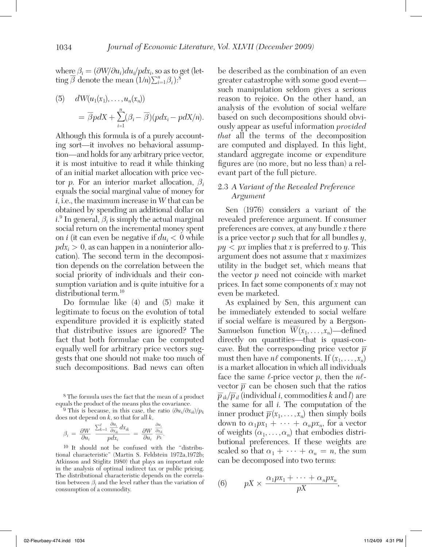where  $\beta_i = (\partial W/\partial u_i) du_i / p dx_i$ , so as to get (let-

ting  $\overline{\beta}$  denote the mean  $(1/n)\sum_{i=1}^{n} \beta_i$ ;<sup>8</sup>

(5) 
$$
dW(u_1(x_1),...,u_n(x_n))
$$

$$
= \overline{\beta}pdX + \sum_{i=1}^n(\beta_i - \overline{\beta})(pdx_i - pdX/n).
$$

Although this formula is of a purely accounting sort—it involves no behavioral assumption—and holds for any arbitrary price vector, it is most intuitive to read it while thinking of an initial market allocation with price vector *p*. For an interior market allocation,  $\beta_i$ equals the social marginal value of money for *i*, i.e., the maximum increase in *W* that can be obtained by spending an additional dollar on  $i$ <sup>9</sup> In general,  $\beta_i$  is simply the actual marginal social return on the incremental money spent on *i* (it can even be negative if  $du_i < 0$  while  $pdx_i > 0$ , as can happen in a noninterior allocation). The second term in the decomposition depends on the correlation between the social priority of individuals and their consumption variation and is quite intuitive for a distributional term.<sup>10</sup>

Do formulae like (4) and (5) make it legitimate to focus on the evolution of total expenditure provided it is explicitly stated that distributive issues are ignored? The fact that both formulae can be computed equally well for arbitrary price vectors suggests that one should not make too much of such decompositions. Bad news can often

8 The formula uses the fact that the mean of a product equals the product of the means plus the covariance.

<sup>9</sup> This is because, in this case, the ratio (∂*ui* /∂*xik*)/*pk* does not depend on *k*, so that for all *k*,

$$
\beta_i = \frac{\partial W}{\partial u_i} \frac{\sum_{k=1}^{\ell} \frac{\partial u_i}{\partial x_{ik}} dx_{ik}}{p dx_i} = \frac{\partial W}{\partial u_i} \frac{\frac{\partial u_i}{\partial x_{ik}}}{p_k}.
$$

10 It should not be confused with the "distributional characteristic" (Martin S. Feldstein 1972a,1972b; Atkinson and Stiglitz 1980) that plays an important role in the analysis of optimal indirect tax or public pricing. The distributional characteristic depends on the correlation between β*<sup>i</sup>* and the level rather than the variation of consumption of a commodity.

be described as the combination of an even greater catastrophe with some good event such manipulation seldom gives a serious reason to rejoice. On the other hand, an analysis of the evolution of social welfare based on such decompositions should obviously appear as useful information *provided that* all the terms of the decomposition are computed and displayed. In this light, standard aggregate income or expenditure figures are (no more, but no less than) a relevant part of the full picture.

## 2.3 *A Variant of the Revealed Preference Argument*

Sen (1976) considers a variant of the revealed preference argument. If consumer preferences are convex, at any bundle *x* there is a price vector *p* such that for all bundles *y*,  $py < px$  implies that *x* is preferred to *y*. This argument does not assume that *x* maximizes utility in the budget set, which means that the vector *p* need not coincide with market prices. In fact some components of *x* may not even be marketed.

As explained by Sen, this argument can be immediately extended to social welfare if social welfare is measured by a Bergson-Samuelson function  $W(x_1, \ldots, x_n)$ —defined directly on quantities—that is quasi-concave. But the corresponding price vector  $\bar{p}$ must then have  $n\ell$  components. If  $(x_1, \ldots, x_n)$ is a market allocation in which all individuals face the same ℓ-price vector *p*, then the *n*ℓvector  $\overline{p}$  can be chosen such that the ratios  $\overline{p}_{ik}/\overline{p}_{il}$  (individual *i*, commodities  $k$  and  $l$ ) are the same for all *i*. The computation of the inner product  $\overline{p}(x_1, \ldots, x_n)$  then simply boils down to  $\alpha_1 p x_1 + \cdots + \alpha_n p x_n$ , for a vector of weights  $(\alpha_1, \ldots, \alpha_n)$  that embodies distributional preferences. If these weights are scaled so that  $\alpha_1 + \cdots + \alpha_n = n$ , the sum can be decomposed into two terms:

\n is that 
$$
\alpha_1 + \cdots + \alpha_n = n
$$
, the\n can be decomposed into two terms:\n

\n\n (6)  $pX \times \frac{\alpha_1 p x_1 + \cdots + \alpha_n p x_n}{pX}$ \n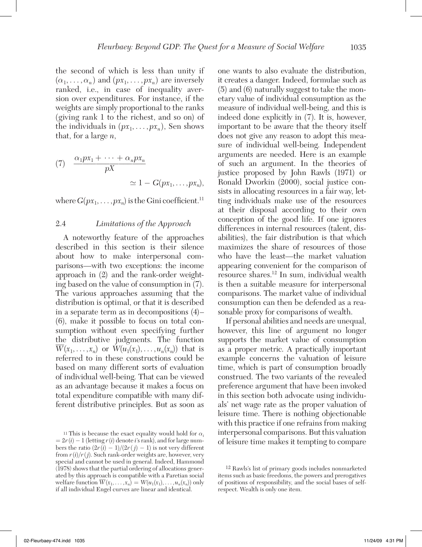the second of which is less than unity if  $(\alpha_1, \ldots, \alpha_n)$  and  $(px_1, \ldots, px_n)$  are inversely ranked, i.e., in case of inequality aversion over expenditures. For instance, if the weights are simply proportional to the ranks (giving rank 1 to the richest, and so on) of the individuals in  $(px_1, \ldots, px_n)$ , Sen shows that, for a large *n*,

that, for a large *n*,  
\n(7) 
$$
\frac{\alpha_1 p x_1 + \dots + \alpha_n p x_n}{pX} \simeq 1 - G(p x_1, \dots, p x_n),
$$

where  $G(px_1, \ldots, px_n)$  is the Gini coefficient.<sup>11</sup>

## 2.4 *Limitations of the Approach*

A noteworthy feature of the approaches described in this section is their silence about how to make interpersonal comparisons—with two exceptions: the income approach in (2) and the rank-order weighting based on the value of consumption in (7). The various approaches assuming that the distribution is optimal, or that it is described in a separate term as in decompositions (4)– (6), make it possible to focus on total consumption without even specifying further the distributive judgments. The function \_\_  $W(x_1, \ldots, x_n)$  or  $W(u_1(x_1), \ldots, u_n(x_n))$  that is referred to in these constructions could be based on many different sorts of evaluation of individual well-being. That can be viewed as an advantage because it makes a focus on total expenditure compatible with many different distributive principles. But as soon as

one wants to also evaluate the distribution, it creates a danger. Indeed, formulae such as (5) and (6) naturally suggest to take the monetary value of individual consumption as the measure of individual well-being, and this is indeed done explicitly in (7). It is, however, important to be aware that the theory itself does not give any reason to adopt this measure of individual well-being. Independent arguments are needed. Here is an example of such an argument. In the theories of justice proposed by John Rawls (1971) or Ronald Dworkin (2000), social justice consists in allocating resources in a fair way, letting individuals make use of the resources at their disposal according to their own conception of the good life. If one ignores differences in internal resources (talent, disabilities), the fair distribution is that which maximizes the share of resources of those who have the least—the market valuation appearing convenient for the comparison of resource shares.12 In sum, individual wealth is then a suitable measure for interpersonal comparisons. The market value of individual consumption can then be defended as a reasonable proxy for comparisons of wealth.

If personal abilities and needs are unequal, however, this line of argument no longer supports the market value of consumption as a proper metric. A practically important example concerns the valuation of leisure time, which is part of consumption broadly construed. The two variants of the revealed preference argument that have been invoked in this section both advocate using individuals' net wage rate as the proper valuation of leisure time. There is nothing objectionable with this practice if one refrains from making interpersonal comparisons. But this valuation of leisure time makes it tempting to compare

<sup>&</sup>lt;sup>11</sup> This is because the exact equality would hold for  $\alpha_i$  $= 2r(i) - 1$  (letting  $r(i)$  denote *i*'s rank), and for large numbers the ratio  $(2r(i) - 1)/(2r(j) - 1)$  is not very different from *r* (*i*)/*r* (*j*). Such rank-order weights are, however, very special and cannot be used in general. Indeed, Hammond (1978) shows that the partial ordering of allocations generated by this approach is compatible with a Paretian social welfare function  $W(x_1, \ldots, x_n) = W(u_1(x_1), \ldots, u_n(x_n))$  only if all individual Engel curves are linear and identical.

<sup>12</sup> Rawls's list of primary goods includes nonmarketed items such as basic freedoms, the powers and prerogatives of positions of responsibility, and the social bases of selfrespect. Wealth is only one item.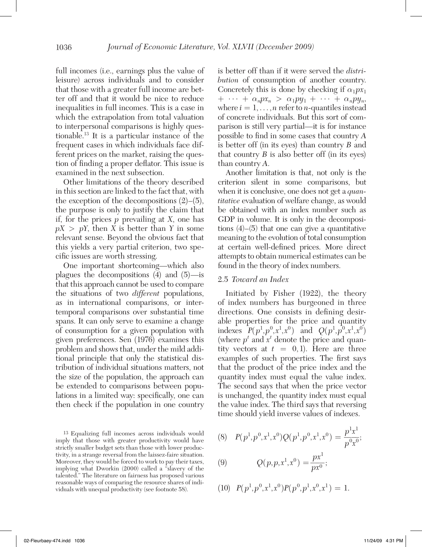full incomes (i.e., earnings plus the value of leisure) across individuals and to consider that those with a greater full income are better off and that it would be nice to reduce inequalities in full incomes. This is a case in which the extrapolation from total valuation to interpersonal comparisons is highly questionable.13 It is a particular instance of the frequent cases in which individuals face different prices on the market, raising the question of finding a proper deflator. This issue is examined in the next subsection.

Other limitations of the theory described in this section are linked to the fact that, with the exception of the decompositions  $(2)$ – $(5)$ , the purpose is only to justify the claim that if, for the prices *p* prevailing at *X*, one has  $pX > pY$ , then *X* is better than *Y* in some relevant sense. Beyond the obvious fact that this yields a very partial criterion, two specific issues are worth stressing.

One important shortcoming—which also plagues the decompositions (4) and (5)—is that this approach cannot be used to compare the situations of two *different* populations, as in international comparisons, or intertemporal comparisons over substantial time spans. It can only serve to examine a change of consumption for a given population with given preferences. Sen (1976) examines this problem and shows that, under the mild additional principle that only the statistical distribution of individual situations matters, not the size of the population, the approach can be extended to comparisons between populations in a limited way: specifically, one can then check if the population in one country

13 Equalizing full incomes across individuals would imply that those with greater productivity would have strictly smaller budget sets than those with lower productivity, in a strange reversal from the laissez-faire situation. Moreover, they would be forced to work to pay their taxes, implying what Dworkin (2000) called a "slavery of the talented." The literature on fairness has proposed various reasonable ways of comparing the resource shares of individuals with unequal productivity (see footnote 58).

is better off than if it were served the *distribution* of consumption of another country. Concretely this is done by checking if  $\alpha_1 p x_1$  $+ \cdots + \alpha_n p x_n > \alpha_1 p y_1 + \cdots + \alpha_n p y_n$ where  $i = 1, \ldots, n$  refer to *n*-quantiles instead of concrete individuals. But this sort of comparison is still very partial—it is for instance possible to find in some cases that country *A* is better off (in its eyes) than country *B* and that country  $B$  is also better off (in its eyes) than country *A*.

Another limitation is that, not only is the criterion silent in some comparisons, but when it is conclusive, one does not get a *quantitative* evaluation of welfare change, as would be obtained with an index number such as GDP in volume. It is only in the decompositions (4)–(5) that one can give a quantitative meaning to the evolution of total consumption at certain well-defined prices. More direct attempts to obtain numerical estimates can be found in the theory of index numbers.

#### 2.5 *Toward an Index*

Initiated by Fisher (1922), the theory of index numbers has burgeoned in three directions. One consists in defining desirable properties for the price and quantity indexes  $P(p^1, p^0, x^1, x^0)$  and  $Q(p^1, p^0, x^1, x^0)$ (where  $p^t$  and  $x^t$  denote the price and quantity vectors at  $t = 0, 1$ . Here are three examples of such properties. The first says that the product of the price index and the quantity index must equal the value index. The second says that when the price vector is unchanged, the quantity index must equal the value index. The third says that reversing time should yield inverse values of indexes.

$$
(8) \quad P(p^1, p^0, x^1, x^0)Q(p^1, p^0, x^1, x^0) = \frac{p^1x^1}{p^0x^0};
$$

(9) 
$$
Q(p, p, x^1, x^0) = \frac{px^1}{px^0};
$$

(10) 
$$
P(p^1, p^0, x^1, x^0)P(p^0, p^1, x^0, x^1) = 1.
$$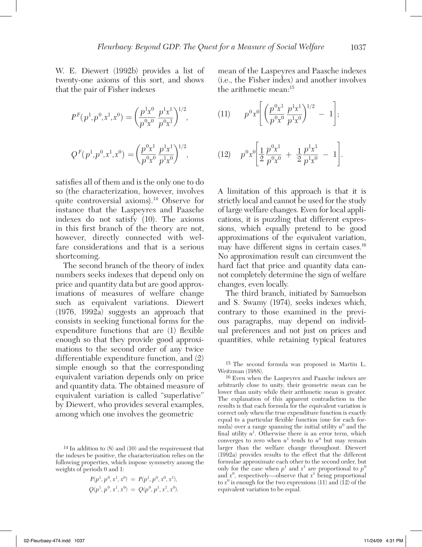W. E. Diewert (1992b) provides a list of twenty-one axioms of this sort, and shows that the pair of Fisher indexes

$$
P^{F}(p^{1},p^{0},x^{1},x^{0}) = \left(\frac{p^{1}x^{0}}{p^{0}x^{0}}\frac{p^{1}x^{1}}{p^{0}x^{1}}\right)^{1/2},
$$
  

$$
Q^{F}(p^{1},p^{0},x^{1},x^{0}) = \left(\frac{p^{0}x^{1}}{p^{0}x^{0}}\frac{p^{1}x^{1}}{p^{1}x^{0}}\right)^{1/2},
$$

satisfies all of them and is the only one to do so (the characterization, however, involves quite controversial axioms). <sup>14</sup> Observe for instance that the Laspeyres and Paasche indexes do not satisfy (10). The axioms in this first branch of the theory are not, however, directly connected with welfare considerations and that is a serious shortcoming.

The second branch of the theory of index numbers seeks indexes that depend only on price and quantity data but are good approximations of measures of welfare change such as equivalent variations. Diewert (1976, 1992a) suggests an approach that consists in seeking functional forms for the expenditure functions that are (1) flexible enough so that they provide good approximations to the second order of any twice differentiable expenditure function, and (2) simple enough so that the corresponding equivalent variation depends only on price and quantity data. The obtained measure of equivalent variation is called "superlative" by Diewert, who provides several examples, among which one involves the geometric

14 In addition to (8) and (10) and the requirement that the indexes be positive, the characterization relies on the following properties, which impose symmetry among the weights of periods 0 and 1:

$$
P(p1, p0, x1, x0) = P(p1, p0, x0, x1),
$$
  
\n
$$
Q(p1, p0, x1, x0) = Q(p0, p1, x1, x0).
$$

mean of the Laspeyres and Paasche indexes (i.e., the Fisher index) and another involves the arithmetic mean:<sup>15</sup>

(11) 
$$
p^0 x^0 \left[ \left( \frac{p^0 x^1}{p^0 x^0} \frac{p^1 x^1}{p^1 x^0} \right)^{1/2} - 1 \right];
$$
  
\n(12)  $p^0 x^0 \left[ \frac{1}{2} \frac{p^0 x^1}{p^0 x^0} + \frac{1}{2} \frac{p^1 x^1}{p^1 x^0} - 1 \right].$ 

A limitation of this approach is that it is strictly local and cannot be used for the study of large welfare changes. Even for local applications, it is puzzling that different expressions, which equally pretend to be good approximations of the equivalent variation, may have different signs in certain cases.<sup>16</sup> No approximation result can circumvent the hard fact that price and quantity data cannot completely determine the sign of welfare changes, even locally.

The third branch, initiated by Samuelson and S. Swamy (1974), seeks indexes which, contrary to those examined in the previous paragraphs, may depend on individual preferences and not just on prices and quantities, while retaining typical features

15 The second formula was proposed in Martin L. Weitzman (1988).

16 Even when the Laspeyres and Paasche indexes are arbitrarily close to unity, their geometric mean can be lower than unity while their arithmetic mean is greater. The explanation of this apparent contradiction in the results is that each formula for the equivalent variation is correct only when the true expenditure function is exactly equal to a particular flexible function (one for each formula) over a range spanning the initial utility  $u^0$  and the final utility  $u^1$ . Otherwise there is an error term, which converges to zero when  $u^1$  tends to  $u^0$  but may remain larger than the welfare change throughout. Diewert (1992a) provides results to the effect that the different formulae approximate each other to the second order, but only for the case when  $p<sup>1</sup>$  and  $x<sup>1</sup>$  are proportional to  $p<sup>0</sup>$ and  $x^0$ , respectively—observe that  $x^1$  being proportional to  $x^0$  is enough for the two expressions  $(11)$  and  $(12)$  of the equivalent variation to be equal.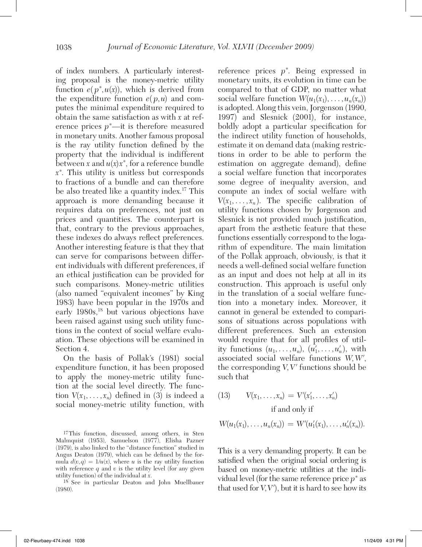of index numbers. A particularly interesting proposal is the money-metric utility function  $e(p^*, u(x))$ , which is derived from the expenditure function  $e(p, u)$  and computes the minimal expenditure required to obtain the same satisfaction as with *x* at reference prices *p*\*—it is therefore measured in monetary units. Another famous proposal is the ray utility function defined by the property that the individual is indifferent between *x* and  $u(x)x^*$ , for a reference bundle *x*\*. This utility is unitless but corresponds to fractions of a bundle and can therefore be also treated like a quantity index.17 This approach is more demanding because it requires data on preferences, not just on prices and quantities. The counterpart is that, contrary to the previous approaches, these indexes do always reflect preferences. Another interesting feature is that they that can serve for comparisons between different individuals with different preferences, if an ethical justification can be provided for such comparisons. Money-metric utilities (also named "equivalent incomes" by King 1983) have been popular in the 1970s and early  $1980s$ ,<sup>18</sup> but various objections have been raised against using such utility functions in the context of social welfare evaluation. These objections will be examined in Section 4.

On the basis of Pollak's (1981) social expenditure function, it has been proposed to apply the money-metric utility function at the social level directly. The function  $V(x_1, \ldots, x_n)$  defined in (3) is indeed a social money-metric utility function, with

17This function, discussed, among others, in Sten Malmquist (1953), Samuelson (1977), Elisha Pazner (1979), is also linked to the "distance function" studied in Angus Deaton (1979), which can be defined by the formula  $d(v,q) = 1/u(x)$ , where *u* is the ray utility function with reference  $q$  and  $v$  is the utility level (for any given utility function) of the individual at *x*.

18 See in particular Deaton and John Muellbauer (1980).

reference prices *p*\*. Being expressed in monetary units, its evolution in time can be compared to that of GDP, no matter what social welfare function  $W(u_1(x_1), \ldots, u_n(x_n))$ is adopted. Along this vein, Jorgenson (1990, 1997) and Slesnick (2001), for instance, boldly adopt a particular specification for the indirect utility function of households, estimate it on demand data (making restrictions in order to be able to perform the estimation on aggregate demand), define a social welfare function that incorporates some degree of inequality aversion, and compute an index of social welfare with  $V(x_1, \ldots, x_n)$ . The specific calibration of utility functions chosen by Jorgenson and Slesnick is not provided much justification, apart from the æsthetic feature that these functions essentially correspond to the logarithm of expenditure. The main limitation of the Pollak approach, obviously, is that it needs a well-defined social welfare function as an input and does not help at all in its construction. This approach is useful only in the translation of a social welfare function into a monetary index. Moreover, it cannot in general be extended to comparisons of situations across populations with different preferences. Such an extension would require that for all profiles of utility functions  $(u_1, \ldots, u_n)$ ,  $(u'_1, \ldots, u'_n)$ , with associated social welfare functions *W*,*W*′, the corresponding *V*,*V*′ functions should be such that

(13) 
$$
V(x_1, \dots, x_n) = V'(x'_1, \dots, x'_n)
$$
if and only if

$$
W(u_1(x_1),...,u_n(x_n)) = W'(u'_1(x_1),...,u'_n(x_n)).
$$

This is a very demanding property. It can be satisfied when the original social ordering is based on money-metric utilities at the individual level (for the same reference price *p*\* as that used for  $V, V'$ , but it is hard to see how its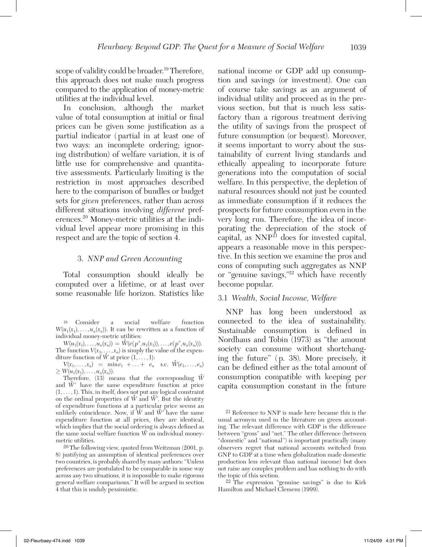scope of validity could be broader.<sup>19</sup> Therefore, this approach does not make much progress compared to the application of money-metric utilities at the individual level.

In conclusion, although the market value of total consumption at initial or final prices can be given some justification as a partial indicator (partial in at least one of two ways: an incomplete ordering; ignoring distribution) of welfare variation, it is of little use for comprehensive and quantitative assessments. Particularly limiting is the restriction in most approaches described here to the comparison of bundles or budget sets for *given* preferences, rather than across different situations involving *different* preferences.20 Money-metric utilities at the individual level appear more promising in this respect and are the topic of section 4.

#### 3. *NNP and Green Accounting*

Total consumption should ideally be computed over a lifetime, or at least over some reasonable life horizon. Statistics like

national income or GDP add up consumption and savings (or investment). One can of course take savings as an argument of individual utility and proceed as in the previous section, but that is much less satisfactory than a rigorous treatment deriving the utility of savings from the prospect of future consumption (or bequest). Moreover, it seems important to worry about the sustainability of current living standards and ethically appealing to incorporate future generations into the computation of social welfare. In this perspective, the depletion of natural resources should not just be counted as immediate consumption if it reduces the prospects for future consumption even in the very long run. Therefore, the idea of incorporating the depreciation of the stock of capital, as  $NNP^{21}$  does for invested capital, appears a reasonable move in this perspective. In this section we examine the pros and cons of computing such aggregates as NNP or "genuine savings,"22 which have recently become popular.

#### 3.1 *Wealth, Social Income, Welfare*

NNP has long been understood as connected to the idea of sustainability. Sustainable consumption is defined in Nordhaus and Tobin (1973) as "the amount society can consume without shortchanging the future" (p. 38). More precisely, it can be defined either as the total amount of consumption compatible with keeping per capita consumption constant in the future

21 Reference to NNP is made here because this is the usual acronym used in the literature on green accounting. The relevant difference with GDP is the difference between "gross" and "net." The other difference (between "domestic" and "national") is important practically (many observers regret that national accounts switched from GNP to GDP at a time when globalization made domestic production less relevant than national income) but does not raise any complex problem and has nothing to do with the topic of this section.

22 The expression "genuine savings" is due to Kirk Hamilton and Michael Clemens (1999).

<sup>19</sup>Consider a social welfare function  $W(u_1(x_1), \ldots, u_n(x_n))$ . It can be rewritten as a function of individual money-metric utilities:

 $W(u_1(x_1), \ldots, u_n(x_n)) = \hat{W}(e(p^*, u_1(x_1)), \ldots, e(p^*, u_n(x_n))).$ The function  $V(x_1, \ldots, x_n)$  is simply the value of the expenditure function of  $\hat{W}$  at price  $(1, \ldots, 1)$ :

 $V(x_1, \ldots, x_n) = \min e_1 + \ldots + e_n \quad \text{s.e.} \quad \hat{W}(e_1, \ldots, e_n)$  $\geq W(u_1(x_1), \ldots, u_n(x_n)).$ 

Therefore,  $(13)$  means that the corresponding  $\hat{W}$ and  $\hat{W}'$  have the same expenditure function at price  $(1, \ldots, 1)$ . This, in itself, does not put any logical constraint on the ordinal properties of  $\hat{W}$  and  $\hat{W}'$ . But the identity of expenditure functions at a particular price seems an unlikely coincidence. Now, if  $\hat{W}$  and  $\hat{W}'$  have the same expenditure function at all prices, they are identical, which implies that the social ordering is always defined as the same social welfare function  $\hat{W}$  on individual moneymetric utilities.

<sup>20</sup> The following view, quoted from Weitzman (2001, p. 8) justifying an assumption of identical preferences over two countries, is probably shared by many authors:"Unless preferences are postulated to be comparable in some way across any two situations, it is impossible to make rigorous general welfare comparisons." It will be argued in section 4 that this is unduly pessimistic.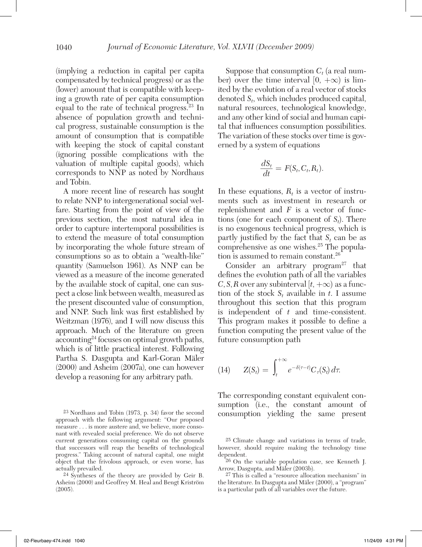(implying a reduction in capital per capita compensated by technical progress) or as the (lower) amount that is compatible with keeping a growth rate of per capita consumption equal to the rate of technical progress.23 In absence of population growth and technical progress, sustainable consumption is the amount of consumption that is compatible with keeping the stock of capital constant (ignoring possible complications with the valuation of multiple capital goods), which corresponds to NNP as noted by Nordhaus and Tobin.

A more recent line of research has sought to relate NNP to intergenerational social welfare. Starting from the point of view of the previous section, the most natural idea in order to capture intertemporal possibilities is to extend the measure of total consumption by incorporating the whole future stream of consumptions so as to obtain a "wealth-like" quantity (Samuelson 1961). As NNP can be viewed as a measure of the income generated by the available stock of capital, one can suspect a close link between wealth, measured as the present discounted value of consumption, and NNP. Such link was first established by Weitzman (1976), and I will now discuss this approach. Much of the literature on green accounting<sup>24</sup> focuses on optimal growth paths, which is of little practical interest. Following Partha S. Dasgupta and Karl-Goran Mäler (2000) and Asheim (2007a), one can however develop a reasoning for any arbitrary path.

23 Nordhaus and Tobin (1973, p. 34) favor the second approach with the following argument: "Our proposed measure . . . is more austere and, we believe, more consonant with revealed social preference. We do not observe current generations consuming capital on the grounds that successors will reap the benefits of technological progress." Taking account of natural capital, one might object that the frivolous approach, or even worse, has actually prevailed.

24 Syntheses of the theory are provided by Geir B. Asheim (2000) and Geoffrey M. Heal and Bengt Kriström (2005).

Suppose that consumption  $C_t$  (a real number) over the time interval  $[0, +\infty)$  is limited by the evolution of a real vector of stocks denoted *St* , which includes produced capital, natural resources, technological knowledge, and any other kind of social and human capital that influences consumption possibilities. The variation of these stocks over time is governed by a system of equations

$$
\frac{dS_t}{dt} = F(S_t, C_t, R_t).
$$

In these equations,  $R_t$  is a vector of instruments such as investment in research or replenishment and *F* is a vector of functions (one for each component of  $S_t$ ). There is no exogenous technical progress, which is partly justified by the fact that  $S_t$  can be as comprehensive as one wishes.<sup>25</sup> The population is assumed to remain constant.26

Consider an arbitrary program<sup>27</sup> that defines the evolution path of all the variables *C*, *S*, *R* over any subinterval  $|t, +\infty$  as a function of the stock  $S_t$  available in  $t$ . I assume throughout this section that this program is independent of *t* and time-consistent. This program makes it possible to define a function computing the present value of the future consumption path

(14) 
$$
Z(S_t) = \int_t^{+\infty} e^{-\delta(\tau - t)} C_\tau(S_t) d\tau.
$$

The corresponding constant equivalent consumption (i.e., the constant amount of consumption yielding the same present

<sup>25</sup> Climate change and variations in terms of trade, however, should require making the technology time dependent.

 $26$  On the variable population case, see Kenneth J.<br>Arrow, Dasgupta, and Mäler (2003b).

 $27$  This is called a "resource allocation mechanism" in the literature. In Dasgupta and Mäler (2000), a "program" is a particular path of all variables over the future.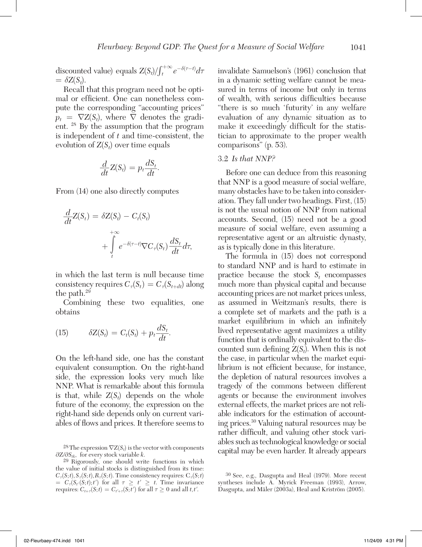discounted value) equals  $Z(S_t)/\int_t^{+\infty} e^{-\delta(\tau-t)} d\tau$  $= \delta Z(S_t).$ 

Recall that this program need not be optimal or efficient. One can nonetheless compute the corresponding "accounting prices"  $p_t = \nabla Z(S_t)$ , where  $\nabla$  denotes the gradient. <sup>28</sup> By the assumption that the program is independent of *t* and time-consistent, the evolution of  $Z(S_t)$  over time equals

$$
\frac{d}{dt}Z(S_t) = p_t \frac{dS_t}{dt}.
$$

From (14) one also directly computes

$$
\frac{d}{dt}Z(S_t) = \delta Z(S_t) - C_t(S_t)
$$
\n
$$
+ \int\limits_t^{+\infty} e^{-\delta(\tau - t)} \nabla C_\tau(S_t) \frac{dS_t}{dt} d\tau,
$$

in which the last term is null because time consistency requires  $C_\tau(S_t) = C_\tau(S_{t+dt})$  along the path.29

Combining these two equalities, one obtains

(15) 
$$
\delta Z(S_t) = C_t(S_t) + p_t \frac{dS_t}{dt}.
$$

On the left-hand side, one has the constant equivalent consumption. On the right-hand side, the expression looks very much like NNP. What is remarkable about this formula is that, while  $Z(S_t)$  depends on the whole future of the economy, the expression on the right-hand side depends only on current variables of flows and prices. It therefore seems to

invalidate Samuelson's (1961) conclusion that in a dynamic setting welfare cannot be measured in terms of income but only in terms of wealth, with serious difficulties because "there is so much 'futurity' in any welfare evaluation of any dynamic situation as to make it exceedingly difficult for the statistician to approximate to the proper wealth comparisons" (p. 53).

#### 3.2 *Is that NNP?*

Before one can deduce from this reasoning that NNP is a good measure of social welfare, many obstacles have to be taken into consideration. They fall under two headings. First, (15) is not the usual notion of NNP from national accounts. Second, (15) need not be a good measure of social welfare, even assuming a representative agent or an altruistic dynasty, as is typically done in this literature.

The formula in (15) does not correspond to standard NNP and is hard to estimate in practice because the stock  $S_t$  encompasses much more than physical capital and because accounting prices are not market prices unless, as assumed in Weitzman's results, there is a complete set of markets and the path is a market equilibrium in which an infinitely lived representative agent maximizes a utility function that is ordinally equivalent to the discounted sum defining  $Z(S_t)$ . When this is not the case, in particular when the market equilibrium is not efficient because, for instance, the depletion of natural resources involves a tragedy of the commons between different agents or because the environment involves external effects, the market prices are not reliable indicators for the estimation of accounting prices.30 Valuing natural resources may be rather difficult, and valuing other stock variables such as technological knowledge or social capital may be even harder. It already appears

 $^{28}\text{The expression }\nabla Z(S_t)$  is the vector with components ∂*Z*/∂*S<sub>tk</sub>*, for every stock variable *k*. <sup>29</sup> Rigorously, one should write functions in which

the value of initial stocks is distinguished from its time:  $C_{\tau}(S;t)$ ,  $S_{\tau}(S;t)$ ,  $R_{\tau}(S;t)$ . Time consistency requires:  $C_{\tau}(S;t)$  $= C_{\tau}(S_{t}(S;t);t')$  for all  $\tau \geq t' \geq t$ . Time invariance requires:  $C_{t+\tau}(S;t) = C_{t'+\tau}(S;t')$  for all  $\tau \geq 0$  and all *t*,*t*'.

<sup>30</sup> See, e.g., Dasgupta and Heal (1979). More recent syntheses include A. Myrick Freeman (1993), Arrow, Dasgupta, and Mäler (2003a), Heal and Kriström (2005).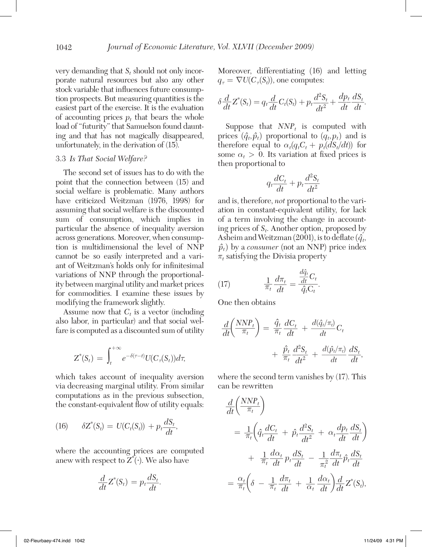very demanding that  $S_t$  should not only incorporate natural resources but also any other stock variable that influences future consumption prospects. But measuring quantities is the easiest part of the exercise. It is the evaluation of accounting prices  $p_t$  that bears the whole load of "futurity" that Samuelson found daunting and that has not magically disappeared, unfortunately, in the derivation of (15).

#### 3.3 *Is That Social Welfare?*

The second set of issues has to do with the point that the connection between (15) and social welfare is problematic. Many authors have criticized Weitzman (1976, 1998) for assuming that social welfare is the discounted sum of consumption, which implies in particular the absence of inequality aversion across generations. Moreover, when consumption is multidimensional the level of NNP cannot be so easily interpreted and a variant of Weitzman's holds only for infinitesimal variations of NNP through the proportionality between marginal utility and market prices for commodities. I examine these issues by modifying the framework slightly.

Assume now that  $C_t$  is a vector (including also labor, in particular) and that social welfare is computed as a discounted sum of utility

$$
Z^*(S_t) = \int_t^{+\infty} e^{-\delta(\tau - t)} U(C_\tau(S_t)) d\tau,
$$

which takes account of inequality aversion via decreasing marginal utility. From similar computations as in the previous subsection, the constant-equivalent flow of utility equals:

(16) 
$$
\delta Z^*(S_t) = U(C_t(S_t)) + p_t \frac{dS_t}{dt},
$$

where the accounting prices are computed anew with respect to  $\mathbf{Z}^*(\cdot)$ . We also have

$$
\frac{d}{dt}Z^*(S_t) = p_t \frac{dS_t}{dt}.
$$

Moreover, differentiating (16) and letting  $q_{\tau} = \nabla U(C_{\tau}(S_t)),$  one computes:

$$
\delta \frac{d}{dt} Z^*(S_t) = q_t \frac{d}{dt} C_t(S_t) + p_t \frac{d^2 S_t}{dt^2} + \frac{dp_t}{dt} \frac{dS_t}{dt}.
$$

Suppose that  $NNP_t$  is computed with prices  $(\hat{q}_t, \hat{p}_t)$  proportional to  $(\hat{q}_t, p_t)$  and is therefore equal to  $\alpha_t(q_t C_t + p_t(dS_t/dt))$  for some  $\alpha_t > 0$ . Its variation at fixed prices is then proportional to

$$
q_t \frac{dC_t}{dt} + p_t \frac{d^2S_t}{dt^2}
$$

and is, therefore, *not* proportional to the variation in constant-equivalent utility, for lack of a term involving the change in accounting prices of *St* . Another option, proposed by Asheim and Weitzman (2001), is to deflate  $(\hat{q}_{t},\hat{q}_{t})$  $\hat{p}_t$ ) by a *consumer* (not an NNP) price index  $\pi_t$  satisfying the Divisia property

(17) 
$$
\frac{1}{\pi_t} \frac{d\pi_t}{dt} = \frac{\frac{d\hat{q}_t}{dt} C_t}{\hat{q}_t C_t}.
$$

One then obtains

$$
\frac{d}{dt} \left( \frac{NNP_t}{\pi_t} \right) = \frac{\hat{q}_t}{\pi_t} \frac{dC_t}{dt} + \frac{d(\hat{q}_t/\pi_t)}{dt} C_t \n+ \frac{\hat{p}_t}{\pi_t} \frac{d^2S_t}{dt^2} + \frac{d(\hat{p}_t/\pi_t)}{dt} \frac{dS_t}{dt},
$$

where the second term vanishes by (17). This can be rewritten

$$
\frac{d}{dt} \left( \frac{NNP_t}{\pi_t} \right)
$$
\n
$$
= \frac{1}{\pi_t} \left( \hat{q}_t \frac{dC_t}{dt} + \hat{p}_t \frac{d^2S_t}{dt^2} + \alpha_t \frac{dp_t}{dt} \frac{dS_t}{dt} \right)
$$
\n
$$
+ \frac{1}{\pi_t} \frac{d\alpha_t}{dt} p_t \frac{dS_t}{dt} - \frac{1}{\pi_t^2} \frac{d\pi_t}{dt} \hat{p}_t \frac{dS_t}{dt}
$$
\n
$$
= \frac{\alpha_t}{\pi_t} \left( \delta - \frac{1}{\pi_t} \frac{d\pi_t}{dt} + \frac{1}{\alpha_t} \frac{d\alpha_t}{dt} \right) \frac{d}{dt} Z^*(S_t),
$$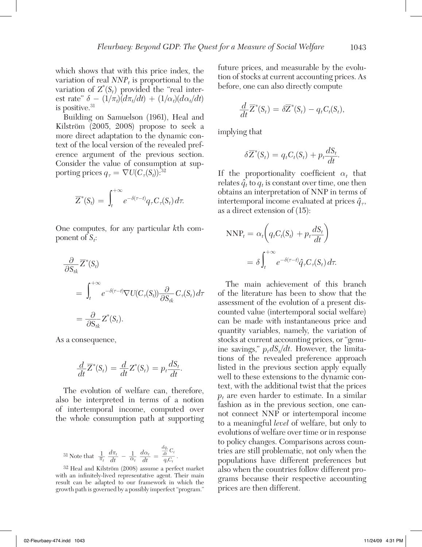which shows that with this price index, the variation of real  $NNP_t$  is proportional to the variation of  $Z^*(S_t)$  provided the "real interest rate"  $\delta - (1/\pi_t)(d\pi_t/dt) + (1/\alpha_t)(d\alpha_t/dt)$ is positive. $31$ 

Building on Samuelson (1961), Heal and Kilström (2005, 2008) propose to seek a more direct adaptation to the dynamic context of the local version of the revealed preference argument of the previous section. Consider the value of consumption at supporting prices  $q_{\tau} = \nabla U(C_{\tau}(S_t))$ :<sup>32</sup>

$$
\overline{Z}^*(S_t) = \int_t^{+\infty} e^{-\delta(\tau-t)} q_\tau C_\tau(S_t) d\tau.
$$

One computes, for any particular *k*th component of  $S_t$ :

$$
\frac{\partial}{\partial S_{ik}} \overline{Z}^*(S_t)
$$
\n
$$
= \int_t^{+\infty} e^{-\delta(\tau - t)} \nabla U(C_\tau(S_t)) \frac{\partial}{\partial S_{ik}} C_\tau(S_t) d\tau
$$
\n
$$
= \frac{\partial}{\partial S_{ik}} Z^*(S_t).
$$

As a consequence,

$$
\frac{d}{dt}\overline{Z}^*(S_t) = \frac{d}{dt}Z^*(S_t) = p_t \frac{dS_t}{dt}.
$$

The evolution of welfare can, therefore, also be interpreted in terms of a notion of intertemporal income, computed over the whole consumption path at supporting

$$
31 \text{ Note that } \frac{1}{\pi_t} \frac{d\pi_t}{dt} - \frac{1}{\alpha_t} \frac{d\alpha_t}{dt} = \frac{\frac{dq_t}{dt}C_t}{q_tC_t}.
$$

<sup>32</sup> Heal and Kilström (2008) assume a perfect market with an infinitely-lived representative agent. Their main result can be adapted to our framework in which the growth path is governed by a possibly imperfect"program." future prices, and measurable by the evolution of stocks at current accounting prices. As before, one can also directly compute

$$
\frac{d}{dt}\overline{Z}^*(S_t) = \delta \overline{Z}^*(S_t) - q_t C_t(S_t),
$$

implying that

$$
\delta \overline{Z}^*(S_t) = q_t C_t(S_t) + p_t \frac{dS_t}{dt}.
$$

If the proportionality coefficient  $\alpha_t$  that relates  $\hat{q}_t$  to  $q_t$  is constant over time, one then obtains an interpretation of NNP in terms of intertemporal income evaluated at prices  $\hat{q}_{\tau}$ , as a direct extension of (15):

$$
NNP_t = \alpha_t \left( q_t C_t(S_t) + p_t \frac{dS_t}{dt} \right)
$$
  
=  $\delta \int_t^{+\infty} e^{-\delta(\tau - t)} \hat{q}_\tau C_\tau(S_t) d\tau.$ 

The main achievement of this branch of the literature has been to show that the assessment of the evolution of a present discounted value (intertemporal social welfare) can be made with instantaneous price and quantity variables, namely, the variation of stocks at current accounting prices, or "genuine savings,"  $p_t dS_t/dt$ . However, the limitations of the revealed preference approach listed in the previous section apply equally well to these extensions to the dynamic context, with the additional twist that the prices  $p_t$  are even harder to estimate. In a similar fashion as in the previous section, one cannot connect NNP or intertemporal income to a meaningful *level* of welfare, but only to evolutions of welfare over time or in response to policy changes. Comparisons across countries are still problematic, not only when the populations have different preferences but also when the countries follow different programs because their respective accounting prices are then different.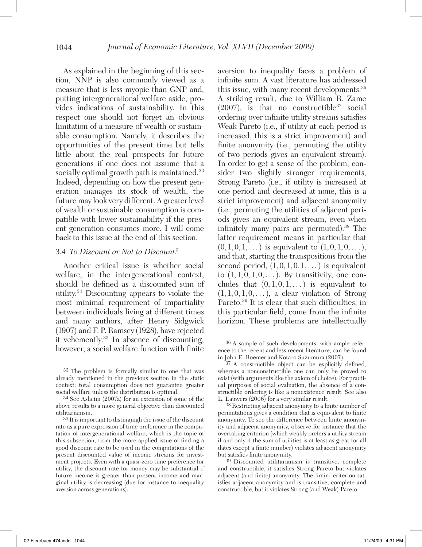As explained in the beginning of this section, NNP is also commonly viewed as a measure that is less myopic than GNP and, putting intergenerational welfare aside, provides indications of sustainability. In this respect one should not forget an obvious limitation of a measure of wealth or sustainable consumption. Namely, it describes the opportunities of the present time but tells little about the real prospects for future generations if one does not assume that a socially optimal growth path is maintained.<sup>33</sup> Indeed, depending on how the present generation manages its stock of wealth, the future may look very different. A greater level of wealth or sustainable consumption is compatible with lower sustainability if the present generation consumes more. I will come back to this issue at the end of this section.

#### 3.4 *To Discount or Not to Discount?*

Another critical issue is whether social welfare, in the intergenerational context, should be defined as a discounted sum of utility.34 Discounting appears to violate the most minimal requirement of impartiality between individuals living at different times and many authors, after Henry Sidgwick (1907) and F. P. Ramsey (1928), have rejected it vehemently.35 In absence of discounting, however, a social welfare function with finite

aversion to inequality faces a problem of infinite sum. A vast literature has addressed this issue, with many recent developments.36 A striking result, due to William R. Zame  $(2007)$ , is that no constructible<sup>37</sup> social ordering over infinite utility streams satisfies Weak Pareto (i.e., if utility at each period is increased, this is a strict improvement) and finite anonymity (i.e., permuting the utility of two periods gives an equivalent stream). In order to get a sense of the problem, consider two slightly stronger requirements, Strong Pareto (i.e., if utility is increased at one period and decreased at none, this is a strict improvement) and adjacent anonymity (i.e., permuting the utilities of adjacent periods gives an equivalent stream, even when infinitely many pairs are permuted). <sup>38</sup> The latter requirement means in particular that  $(0, 1, 0, 1, ...)$  is equivalent to  $(1, 0, 1, 0, ...)$ , and that, starting the transpositions from the second period,  $(1, 0, 1, 0, 1, ...)$  is equivalent to  $(1, 1, 0, 1, 0, \ldots)$ . By transitivity, one concludes that  $(0, 1, 0, 1, ...)$  is equivalent to  $(1, 1, 0, 1, 0, \ldots)$ , a clear violation of Strong Pareto.39 It is clear that such difficulties, in this particular field, come from the infinite horizon. These problems are intellectually

<sup>33</sup> The problem is formally similar to one that was already mentioned in the previous section in the static context: total consumption does not guarantee greater social welfare unless the distribution is optimal.

<sup>34</sup> See Asheim (2007a) for an extension of some of the above results to a more general objective than discounted utilitarianism.

<sup>35</sup> It isimportant to distinguigh the issue of the discount rate as a pure expression of time preference in the computation of intergenerational welfare, which is the topic of this subsection, from the more applied issue of finding a good discount rate to be used in the computations of the present discounted value of income streams for investment projects. Even with a quasi-zero time preference for utility, the discount rate for money may be substantial if future income is greater than present income and marginal utility is decreasing (due for instance to inequality aversion across generations).

<sup>36</sup> A sample of such developments, with ample reference to the recent and less recent literature, can be found

in John E. Roemer and Kotaro Suzumura (2007). <sup>37</sup> <sup>A</sup> constructible object can be explicitly defined, whereas a nonconstructible one can only be proved to exist (with arguments like the axiom of choice). For practical purposes of social evaluation, the absence of a constructible ordering is like a nonexistence result. See also L. Lauwers (2006) for <sup>a</sup> very similar result. <sup>38</sup> Restricting adjacent anonymity to <sup>a</sup> finite number of

permutations gives a condition that is equivalent to finite anonymity. To see the difference between finite anonymity and adjacent anonymity, observe for instance that the overtaking criterion (which weakly prefers a utility stream if and only if the sum of utilities is at least as great for all dates except a finite number) violates adjacent anonymity but satisfies finite anonymity.

<sup>39</sup> Discounted utilitarianism is transitive, complete and constructible, it satisfies Strong Pareto but violates adjacent (and finite) anonymity. The liminf criterion satisfies adjacent anonymity and is transitive, complete and constructible, but it violates Strong (and Weak) Pareto.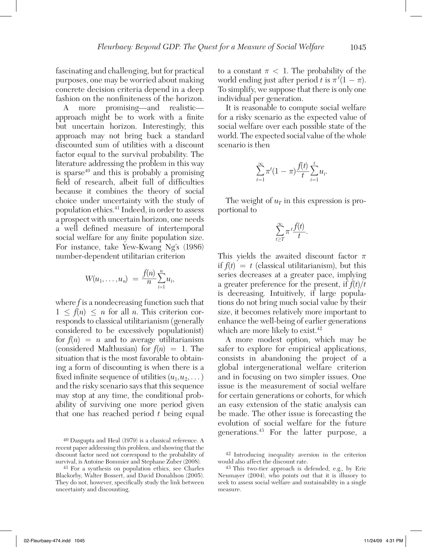fascinating and challenging, but for practical purposes, one may be worried about making concrete decision criteria depend in a deep fashion on the nonfiniteness of the horizon.

A more promising—and realistic approach might be to work with a finite but uncertain horizon. Interestingly, this approach may not bring back a standard discounted sum of utilities with a discount factor equal to the survival probability. The literature addressing the problem in this way is sparse<sup>40</sup> and this is probably a promising field of research, albeit full of difficulties because it combines the theory of social choice under uncertainty with the study of population ethics.41 Indeed, in order to assess a prospect with uncertain horizon, one needs a well defined measure of intertemporal social welfare for any finite population size. For instance, take Yew-Kwang Ng's (1986) number-dependent utilitarian criterion

$$
W(u_1,\ldots,u_n) = \frac{f(n)}{n} \sum_{i=1}^n u_i,
$$

where *f* is a nondecreasing function such that  $1 \leq f(n) \leq n$  for all *n*. This criterion corresponds to classical utilitarianism (generally considered to be excessively populationist) for  $f(n) = n$  and to average utilitarianism (considered Malthusian) for  $f(n) = 1$ . The situation that is the most favorable to obtaining a form of discounting is when there is a fixed infinite sequence of utilities  $(u_1, u_2, \dots)$ and the risky scenario says that this sequence may stop at any time, the conditional probability of surviving one more period given that one has reached period *t* being equal

to a constant  $\pi$  < 1. The probability of the world ending just after period *t* is  $\pi^{t}(1-\pi)$ . To simplify, we suppose that there is only one individual per generation.

It is reasonable to compute social welfare for a risky scenario as the expected value of social welfare over each possible state of the world. The expected social value of the whole scenario is then

$$
\sum_{t=1}^{\infty}\pi^t(1-\pi)\frac{f(t)}{t}\sum_{i=1}^tu_i.
$$

The weight of  $u<sub>T</sub>$  in this expression is proportional to

$$
\sum_{t\geq T}^{\infty} \pi^t \frac{f(t)}{t}.
$$

This yields the awaited discount factor  $\pi$ if  $f(t) = t$  (classical utilitarianism), but this series decreases at a greater pace, implying a greater preference for the present, if  $f(t)/t$ is decreasing. Intuitively, if large populations do not bring much social value by their size, it becomes relatively more important to enhance the well-being of earlier generations which are more likely to exist.<sup>42</sup>

A more modest option, which may be safer to explore for empirical applications, consists in abandoning the project of a global intergenerational welfare criterion and in focusing on two simpler issues. One issue is the measurement of social welfare for certain generations or cohorts, for which an easy extension of the static analysis can be made. The other issue is forecasting the evolution of social welfare for the future generations.43 For the latter purpose, a

<sup>40</sup> Dasgupta and Heal (1979) is a classical reference. A recent paper addressing this problem, and showing that the discount factor need not correspond to the probability of survival, is Antoine Bommier and Stephane Zuber (2008).

<sup>41</sup> For a synthesis on population ethics, see Charles Blackorby, Walter Bossert, and David Donaldson (2005). They do not, however, specifically study the link between uncertainty and discounting.

<sup>42</sup> Introducing inequality aversion in the criterion would also affect the discount rate.

<sup>43</sup> This two-tier approach is defended, e.g., by Eric Neumayer (2004), who points out that it is illusory to seek to assess social welfare and sustainability in a single measure.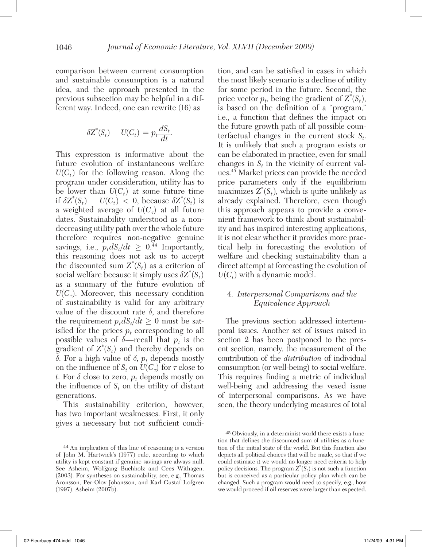comparison between current consumption and sustainable consumption is a natural idea, and the approach presented in the previous subsection may be helpful in a different way. Indeed, one can rewrite (16) as

$$
\delta Z^*(S_t) - U(C_t) = p_t \frac{dS_t}{dt}.
$$

This expression is informative about the future evolution of instantaneous welfare  $U(C_t)$  for the following reason. Along the program under consideration, utility has to be lower than  $U(C_t)$  at some future time if  $\delta Z^*(S_t) - U(C_t) < 0$ , because  $\delta Z^*(S_t)$  is a weighted average of  $U(C_\tau)$  at all future dates. Sustainability understood as a nondecreasing utility path over the whole future therefore requires non-negative genuine savings, i.e.,  $p_t dS_t/dt \geq 0.^{44}$  Importantly, this reasoning does not ask us to accept the discounted sum  $Z^*(S_t)$  as a criterion of social welfare because it simply uses  $\delta Z^*(S_t)$ as a summary of the future evolution of  $U(C_{\tau})$ . Moreover, this necessary condition of sustainability is valid for any arbitrary value of the discount rate  $\delta$ , and therefore the requirement  $p_t dS_t/dt \geq 0$  must be satisfied for the prices  $p_t$  corresponding to all possible values of  $\delta$ —recall that  $p_t$  is the gradient of  $Z^*(S_t)$  and thereby depends on δ. For a high value of δ,  $p_t$  depends mostly on the influence of  $S_t$  on  $U(C_{\tau})$  for  $\tau$  close to *t*. For  $\delta$  close to zero,  $p_t$  depends mostly on the influence of  $S_t$  on the utility of distant generations.

This sustainability criterion, however, has two important weaknesses. First, it only gives a necessary but not sufficient condi-

tion, and can be satisfied in cases in which the most likely scenario is a decline of utility for some period in the future. Second, the price vector  $p_t$ , being the gradient of  $Z^*(S_t)$ , is based on the definition of a "program," i.e., a function that defines the impact on the future growth path of all possible counterfactual changes in the current stock *St*. It is unlikely that such a program exists or can be elaborated in practice, even for small changes in  $S_t$  in the vicinity of current values.45 Market prices can provide the needed price parameters only if the equilibrium maximizes  $Z^*(S_t)$ , which is quite unlikely as already explained. Therefore, even though this approach appears to provide a convenient framework to think about sustainability and has inspired interesting applications, it is not clear whether it provides more practical help in forecasting the evolution of welfare and checking sustainability than a direct attempt at forecasting the evolution of  $U(C_t)$  with a dynamic model.

## 4. *Interpersonal Comparisons and the Equivalence Approach*

The previous section addressed intertemporal issues. Another set of issues raised in section 2 has been postponed to the present section, namely, the measurement of the contribution of the *distribution* of individual consumption (or well-being) to social welfare. This requires finding a metric of individual well-being and addressing the vexed issue of interpersonal comparisons. As we have seen, the theory underlying measures of total

<sup>44</sup> An implication of this line of reasoning is a version of John M. Hartwick's (1977) rule, according to which utility is kept constant if genuine savings are always null. See Asheim, Wolfgang Buchholz and Cees Withagen. (2003). For syntheses on sustainability, see, e.g., Thomas Aronsson, Per-Olov Johansson, and Karl-Gustaf Lofgren (1997), Asheim (2007b).

<sup>45</sup> Obviously, in a determinist world there exists a function that defines the discounted sum of utilities as a function of the initial state of the world. But this function also depicts all political choices that will be made, so that if we could estimate it we would no longer need criteria to help policy decisions. The program  $Z^*(\breve{S}_t)$  is not such a function but is conceived as a particular policy plan which can be changed. Such a program would need to specify, e.g., how we would proceed if oil reserves were larger than expected.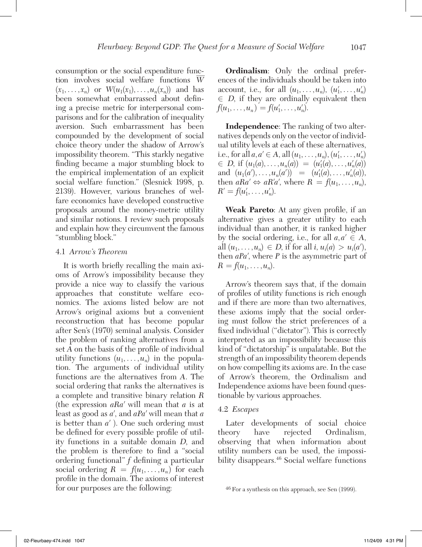consumption or the social expenditure function involves social welfare functions *W*  $(x_1, ..., x_n)$  or  $W(u_1(x_1), ..., u_n(x_n))$  and has been somewhat embarrassed about defining a precise metric for interpersonal comparisons and for the calibration of inequality aversion. Such embarrassment has been compounded by the development of social choice theory under the shadow of Arrow's impossibility theorem. "This starkly negative finding became a major stumbling block to the empirical implementation of an explicit social welfare function." (Slesnick 1998, p. 2139). However, various branches of welfare economics have developed constructive proposals around the money-metric utility and similar notions. I review such proposals and explain how they circumvent the famous "stumbling block."

#### 4.1 *Arrow's Theorem*

It is worth briefly recalling the main axioms of Arrow's impossibility because they provide a nice way to classify the various approaches that constitute welfare economics. The axioms listed below are not Arrow's original axioms but a convenient reconstruction that has become popular after Sen's (1970) seminal analysis. Consider the problem of ranking alternatives from a set *A* on the basis of the profile of individual utility functions  $(u_1, \ldots, u_n)$  in the population. The arguments of individual utility functions are the alternatives from *A*. The social ordering that ranks the alternatives is a complete and transitive binary relation *R* (the expression *aRa*′ will mean that *a* is at least as good as *a*′, and *aPa*′ will mean that *a* is better than *a*′ ). One such ordering must be defined for every possible profile of utility functions in a suitable domain *D*, and the problem is therefore to find a "social ordering functional" *f* defining a particular social ordering  $R = f(u_1, \ldots, u_n)$  for each profile in the domain. The axioms of interest for our purposes are the following:

**Ordinalism**: Only the ordinal preferences of the individuals should be taken into account, i.e., for all  $(u_1, ..., u_n)$ ,  $(u'_1, ..., u'_n)$  $\in D$ , if they are ordinally equivalent then  $f(u_1, \ldots, u_n) = f(u'_1, \ldots, u'_n).$ 

**Independence**: The ranking of two alternatives depends only on the vector of individual utility levels at each of these alternatives, i.e., for all  $a, a' \in A$ , all  $(u_1, \ldots, u_n)$ ,  $(u'_1, \ldots, u'_n)$  $\in$  *D*, if  $(u_1(a),...,u_n(a)) = (u'_1(a),...,u'_n(a))$ and  $(u_1(a'), \ldots, u_n(a')) = (u'_1(a), \ldots, u'_n(a)),$ then  $aRa' \Leftrightarrow aRa'$ , where  $R = f(u_1, \ldots, u_n)$ ,  $R' = f(u'_1, \ldots, u'_n).$ 

**Weak Pareto**: At any given profile, if an alternative gives a greater utility to each individual than another, it is ranked higher by the social ordering, i.e., for all  $a, a' \in A$ , all  $(u_1, ..., u_n)$  ∈ *D*, if for all *i*,  $u_i(a) > u_i(a')$ , then *aPa*′, where *P* is the asymmetric part of  $R = f(u_1, \ldots, u_n).$ 

Arrow's theorem says that, if the domain of profiles of utility functions is rich enough and if there are more than two alternatives, these axioms imply that the social ordering must follow the strict preferences of a fixed individual ("dictator"). This is correctly interpreted as an impossibility because this kind of "dictatorship" is unpalatable. But the strength of an impossibility theorem depends on how compelling its axioms are. In the case of Arrow's theorem, the Ordinalism and Independence axioms have been found questionable by various approaches.

#### 4.2 *Escapes*

Later developments of social choice theory have rejected Ordinalism, observing that when information about utility numbers can be used, the impossibility disappears.<sup>46</sup> Social welfare functions

<sup>46</sup> For a synthesis on this approach, see Sen (1999).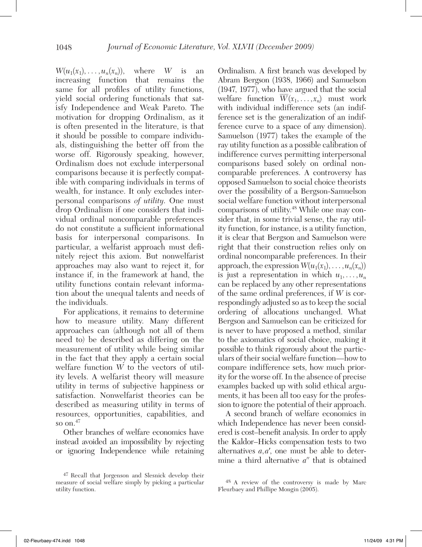$W(u_1(x_1), \ldots, u_n(x_n)),$  where *W* is an increasing function that remains the same for all profiles of utility functions, yield social ordering functionals that satisfy Independence and Weak Pareto. The motivation for dropping Ordinalism, as it is often presented in the literature, is that it should be possible to compare individuals, distinguishing the better off from the worse off. Rigorously speaking, however, Ordinalism does not exclude interpersonal comparisons because it is perfectly compatible with comparing individuals in terms of wealth, for instance. It only excludes interpersonal comparisons *of utility*. One must drop Ordinalism if one considers that individual ordinal noncomparable preferences do not constitute a sufficient informational basis for interpersonal comparisons. In particular, a welfarist approach must definitely reject this axiom. But nonwelfarist approaches may also want to reject it, for instance if, in the framework at hand, the utility functions contain relevant information about the unequal talents and needs of the individuals.

For applications, it remains to determine how to measure utility. Many different approaches can (although not all of them need to) be described as differing on the measurement of utility while being similar in the fact that they apply a certain social welfare function *W* to the vectors of utility levels. A welfarist theory will measure utility in terms of subjective happiness or satisfaction. Nonwelfarist theories can be described as measuring utility in terms of resources, opportunities, capabilities, and so on.<sup>47</sup>

Other branches of welfare economics have instead avoided an impossibility by rejecting or ignoring Independence while retaining

Ordinalism. A first branch was developed by Abram Bergson (1938, 1966) and Samuelson (1947, 1977), who have argued that the social welfare function  $W(x_1, \ldots, x_n)$  must work with individual indifference sets (an indifference set is the generalization of an indifference curve to a space of any dimension). Samuelson (1977) takes the example of the ray utility function as a possible calibration of indifference curves permitting interpersonal comparisons based solely on ordinal noncomparable preferences. A controversy has opposed Samuelson to social choice theorists over the possibility of a Bergson-Samuelson social welfare function without interpersonal comparisons of utility.48 While one may consider that, in some trivial sense, the ray utility function, for instance, is a utility function, it is clear that Bergson and Samuelson were right that their construction relies only on ordinal noncomparable preferences. In their approach, the expression  $W(u_1(x_1), \ldots, u_n(x_n))$ is just a representation in which  $u_1, \ldots, u_n$ can be replaced by any other representations of the same ordinal preferences, if *W* is correspondingly adjusted so as to keep the social ordering of allocations unchanged. What Bergson and Samuelson can be criticized for is never to have proposed a method, similar to the axiomatics of social choice, making it possible to think rigorously about the particulars of their social welfare function—how to compare indifference sets, how much priority for the worse off. In the absence of precise examples backed up with solid ethical arguments, it has been all too easy for the profession to ignore the potential of their approach.

A second branch of welfare economics in which Independence has never been considered is cost–benefit analysis. In order to apply the Kaldor–Hicks compensation tests to two alternatives *a*,*a*′, one must be able to determine a third alternative *a*″ that is obtained

<sup>47</sup> Recall that Jorgenson and Slesnick develop their measure of social welfare simply by picking a particular utility function.

<sup>48</sup> A review of the controversy is made by Marc Fleurbaey and Phillipe Mongin (2005).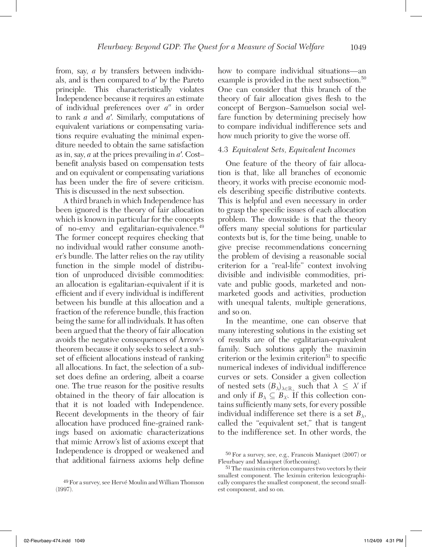from, say, *a* by transfers between individuals, and is then compared to *a*′ by the Pareto principle. This characteristically violates Independence because it requires an estimate of individual preferences over *a*″ in order to rank *a* and *a*′. Similarly, computations of equivalent variations or compensating variations require evaluating the minimal expenditure needed to obtain the same satisfaction as in, say, *a* at the prices prevailing in *a*′. Cost– benefit analysis based on compensation tests and on equivalent or compensating variations has been under the fire of severe criticism. This is discussed in the next subsection.

A third branch in which Independence has been ignored is the theory of fair allocation which is known in particular for the concepts of no-envy and egalitarian-equivalence.49 The former concept requires checking that no individual would rather consume another's bundle. The latter relies on the ray utility function in the simple model of distribution of unproduced divisible commodities: an allocation is egalitarian-equivalent if it is efficient and if every individual is indifferent between his bundle at this allocation and a fraction of the reference bundle, this fraction being the same for all individuals.It has often been argued that the theory of fair allocation avoids the negative consequences of Arrow's theorem because it only seeks to select a subset of efficient allocations instead of ranking all allocations. In fact, the selection of a subset does define an ordering, albeit a coarse one. The true reason for the positive results obtained in the theory of fair allocation is that it is not loaded with Independence. Recent developments in the theory of fair allocation have produced fine-grained rankings based on axiomatic characterizations that mimic Arrow's list of axioms except that Independence is dropped or weakened and that additional fairness axioms help define

how to compare individual situations—an example is provided in the next subsection.<sup>50</sup> One can consider that this branch of the theory of fair allocation gives flesh to the concept of Bergson–Samuelson social welfare function by determining precisely how to compare individual indifference sets and how much priority to give the worse off.

#### 4.3 *Equivalent Sets, Equivalent Incomes*

One feature of the theory of fair allocation is that, like all branches of economic theory, it works with precise economic models describing specific distributive contexts. This is helpful and even necessary in order to grasp the specific issues of each allocation problem. The downside is that the theory offers many special solutions for particular contexts but is, for the time being, unable to give precise recommendations concerning the problem of devising a reasonable social criterion for a "real-life" context involving divisible and indivisible commodities, private and public goods, marketed and nonmarketed goods and activities, production with unequal talents, multiple generations, and so on.

In the meantime, one can observe that many interesting solutions in the existing set of results are of the egalitarian-equivalent family. Such solutions apply the maximin criterion or the leximin criterion<sup>51</sup> to specific numerical indexes of individual indifference curves or sets. Consider a given collection of nested sets  $(B_{\lambda})_{\lambda \in \mathbb{R}_+}$  such that  $\lambda \leq \lambda'$  if and only if  $B_\lambda \subseteq B_{\lambda'}$ . If this collection contains sufficiently many sets, for every possible individual indifference set there is a set  $B_\lambda$ , called the "equivalent set," that is tangent to the indifference set. In other words, the

<sup>49</sup>For a survey, see Hervé Moulin and William Thomson (1997).

<sup>50</sup> For a survey, see, e.g., Francois Maniquet (2007) or Fleurbaey and Maniquet (forthcoming).

<sup>51</sup> The maximin criterion compares two vectors by their smallest component. The leximin criterion lexicographically compares the smallest component, the second smallest component, and so on.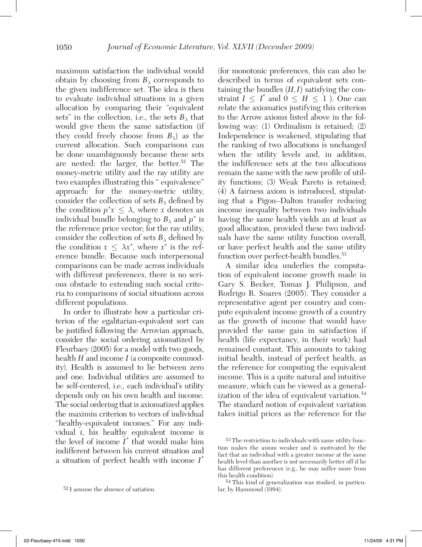maximum satisfaction the individual would obtain by choosing from  $B_\lambda$  corresponds to the given indifference set. The idea is then to evaluate individual situations in a given allocation by comparing their "equivalent sets" in the collection, i.e., the sets  $B_\lambda$  that would give them the same satisfaction (if they could freely choose from  $B_\lambda$ ) as the current allocation. Such comparisons can be done unambiguously because these sets are nested: the larger, the better.52 The money-metric utility and the ray utility are two examples illustrating this " equivalence" approach: for the money-metric utility, consider the collection of sets  $B_\lambda$  defined by the condition  $p^*x \leq \lambda$ , where *x* denotes an individual bundle belonging to  $B_\lambda$  and  $p^*$  is the reference price vector; for the ray utility, consider the collection of sets  $B_\lambda$  defined by the condition  $x \leq \lambda x^*$ , where  $x^*$  is the reference bundle. Because such interpersonal comparisons can be made across individuals with different preferences, there is no serious obstacle to extending such social criteria to comparisons of social situations across different populations.

In order to illustrate how a particular criterion of the egalitarian-equivalent sort can be justified following the Arrovian approach, consider the social ordering axiomatized by Fleurbaey (2005) for a model with two goods, health *H* and income *I* (a composite commodity). Health is assumed to lie between zero and one. Individual utilities are assumed to be self-centered, i.e., each individual's utility depends only on his own health and income. The social ordering that is axiomatized applies the maximin criterion to vectors of individual "healthy-equivalent incomes." For any individual *i*, his healthy equivalent income is the level of income *I*\* that would make him indifferent between his current situation and a situation of perfect health with income *I*\*

(for monotonic preferences, this can also be described in terms of equivalent sets containing the bundles (*H*,*I*) satisfying the constraint  $I \leq I^*$  and  $0 \leq H \leq 1$  ). One can relate the axiomatics justifying this criterion to the Arrow axioms listed above in the following way: (1) Ordinalism is retained; (2) Independence is weakened, stipulating that the ranking of two allocations is unchanged when the utility levels and, in addition, the indifference sets at the two allocations remain the same with the new profile of utility functions; (3) Weak Pareto is retained; (4) A fairness axiom is introduced, stipulating that a Pigou–Dalton transfer reducing income inequality between two individuals having the same health yields an at least as good allocation, provided these two individuals have the same utility function overall, or have perfect health and the same utility function over perfect-health bundles.<sup>53</sup>

A similar idea underlies the computation of equivalent income growth made in Gary S. Becker, Tomas J. Philipson, and Rodrigo R. Soares (2005). They consider a representative agent per country and compute equivalent income growth of a country as the growth of income that would have provided the same gain in satisfaction if health (life expectancy, in their work) had remained constant. This amounts to taking initial health, instead of perfect health, as the reference for computing the equivalent income. This is a quite natural and intuitive measure, which can be viewed as a generalization of the idea of equivalent variation.<sup>54</sup> The standard notion of equivalent variation takes initial prices as the reference for the

<sup>52</sup> I assume the absence of satiation.

<sup>53</sup> The restriction to individuals with same utility function makes the axiom weaker and is motivated by the fact that an individual with a greater income at the same health level than another is not necessarily better off if he has different preferences (e.g., he may suffer more from this health condition).

<sup>54</sup> This kind of generalization was studied, in particular, by Hammond (1994).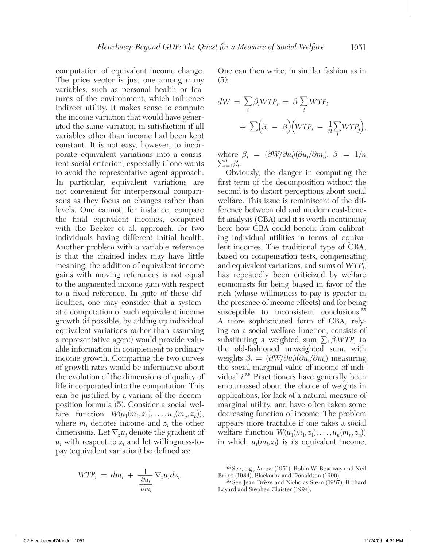computation of equivalent income change. The price vector is just one among many variables, such as personal health or features of the environment, which influence indirect utility. It makes sense to compute the income variation that would have generated the same variation in satisfaction if all variables other than income had been kept constant. It is not easy, however, to incorporate equivalent variations into a consistent social criterion, especially if one wants to avoid the representative agent approach. In particular, equivalent variations are not convenient for interpersonal comparisons as they focus on changes rather than levels. One cannot, for instance, compare the final equivalent incomes, computed with the Becker et al. approach, for two individuals having different initial health. Another problem with a variable reference is that the chained index may have little meaning: the addition of equivalent income gains with moving references is not equal to the augmented income gain with respect to a fixed reference. In spite of these difficulties, one may consider that a systematic computation of such equivalent income growth (if possible, by adding up individual equivalent variations rather than assuming a representative agent) would provide valuable information in complement to ordinary income growth. Comparing the two curves of growth rates would be informative about the evolution of the dimensions of quality of life incorporated into the computation. This can be justified by a variant of the decomposition formula (5). Consider a social welfare function  $W(u_1(m_1, z_1), \ldots, u_n(m_n, z_n)),$ where  $m_i$  denotes income and  $z_i$  the other dimensions. Let  $\nabla_z u_i$  denote the gradient of  $u_i$  with respect to  $z_i$  and let willingness-topay (equivalent variation) be defined as:

One can then write, in similar fashion as in  $(5):$ 

$$
dW = \sum_{i} \beta_{i} WTP_{i} = \overline{\beta} \sum_{i} WTP_{i}
$$

$$
+ \sum (\beta_{i} - \overline{\beta})(WTP_{i} - \frac{1}{n} \sum_{j} WTP_{j}),
$$

where  $\beta_i = (\partial W/\partial u_i)(\partial u_i/\partial m_i), \ \overline{\beta} = 1/n$  $\sum_{i=1}^n \beta_i$ .

Obviously, the danger in computing the first term of the decomposition without the second is to distort perceptions about social welfare. This issue is reminiscent of the difference between old and modern cost-benefit analysis (CBA) and it is worth mentioning here how CBA could benefit from calibrating individual utilities in terms of equivalent incomes. The traditional type of CBA, based on compensation tests, compensating and equivalent variations, and sums of *WTPi* , has repeatedly been criticized by welfare economists for being biased in favor of the rich (whose willingness-to-pay is greater in the presence of income effects) and for being susceptible to inconsistent conclusions.<sup>55</sup> A more sophisticated form of CBA, relying on a social welfare function, consists of substituting a weighted sum  $\sum_i \beta_i W T P_i$  to the old-fashioned unweighted sum, with  $\omega$ weights  $\beta_i = (\partial W/\partial u_i)(\partial u_i/\partial m_i)$  measuring the social marginal value of income of individual *i*. <sup>56</sup> Practitioners have generally been embarrassed about the choice of weights in applications, for lack of a natural measure of marginal utility, and have often taken some decreasing function of income. The problem appears more tractable if one takes a social welfare function  $W(u_1(m_1, z_1), \ldots, u_n(m_n, z_n))$ in which  $u_i(m_i, z_i)$  is *i*'s equivalent income,

$$
WTP_i = dm_i + \frac{1}{\frac{\partial u_i}{\partial m_i}} \nabla_z u_i dz_i.
$$

<sup>55</sup> See, e.g., Arrow (1951), Robin W. Boadway and Neil

<sup>56</sup> See Jean Drèze and Nicholas Stern (1987), Richard Layard and Stephen Glaister (1994).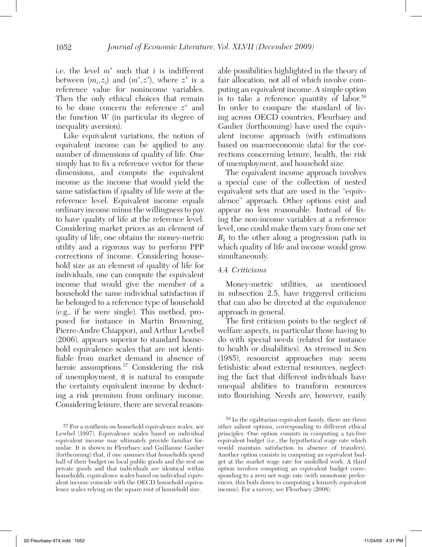i.e. the level *m*\* such that *i* is indifferent between  $(m_i, z_i)$  and  $(m^*, z^*)$ , where  $z^*$  is a reference value for nonincome variables. Then the only ethical choices that remain to be done concern the reference *z*\* and the function *W* (in particular its degree of inequality aversion).

Like equivalent variations, the notion of equivalent income can be applied to any number of dimensions of quality of life. One simply has to fix a reference vector for these dimensions, and compute the equivalent income as the income that would yield the same satisfaction if quality of life were at the reference level. Equivalent income equals ordinary income minus the willingness to pay to have quality of life at the reference level. Considering market prices as an element of quality of life, one obtains the money-metric utility and a rigorous way to perform PPP corrections of income. Considering household size as an element of quality of life for individuals, one can compute the equivalent income that would give the member of a household the same individual satisfaction if he belonged to a reference type of household (e.g., if he were single). This method, proposed for instance in Martin Browning, Pierre-Andre Chiappori, and Arthur Lewbel (2006), appears superior to standard household equivalence scales that are not identifiable from market demand in absence of heroic assumptions.<sup>57</sup> Considering the risk of unemployment, it is natural to compute the certainty equivalent income by deducting a risk premium from ordinary income. Considering leisure, there are several reason-

able possibilities highlighted in the theory of fair allocation, not all of which involve computing an equivalent income. A simple option is to take a reference quantity of labor.<sup>58</sup> In order to compare the standard of living across OECD countries, Fleurbaey and Gaulier (forthcoming) have used the equivalent income approach (with estimations based on macroeconomic data) for the corrections concerning leisure, health, the risk of unemployment, and household size.

The equivalent income approach involves a special case of the collection of nested equivalent sets that are used in the "equivalence" approach. Other options exist and appear no less reasonable. Instead of fixing the non-income variables at a reference level, one could make them vary from one set  $B_\lambda$  to the other along a progression path in which quality of life and income would grow simultaneously.

## 4.4 *Criticisms*

Money-metric utilities, as mentioned in subsection 2.5, have triggered criticism that can also be directed at the equivalence approach in general.

The first criticism points to the neglect of welfare aspects, in particular those having to do with special needs (related for instance to health or disabilities). As stressed in Sen (1985), resourcist approaches may seem fetishistic about external resources, neglecting the fact that different individuals have unequal abilities to transform resources into flourishing. Needs are, however, easily

<sup>57</sup> For a synthesis on household equivalence scales, see Lewbel (1997). Equivalence scales based on individual equivalent income may ultimately provide familiar formulae. It is shown in Fleurbaey and Guillaume Gaulier (forthcoming) that, if one assumes that households spend half of their budget on local public goods and the rest on private goods and that individuals are identical within households, equivalence scales based on individual equivalent income coincide with the OECD household equivalence scales relying on the square root of household size.

<sup>58</sup> In the egalitarian-equivalent family, there are three other salient options, corresponding to different ethical principles. One option consists in computing a tax-free equivalent budget (i.e., the hypothetical wage rate which would maintain satisfaction in absence of transfers). Another option consists in computing an equivalent budget at the market wage rate for unskilled work. A third option involves computing an equivalent budget corresponding to a zero net wage rate (with monotonic preferences, this boils down to computing a leisurely equivalent income). For a survey, see Fleurbaey (2008).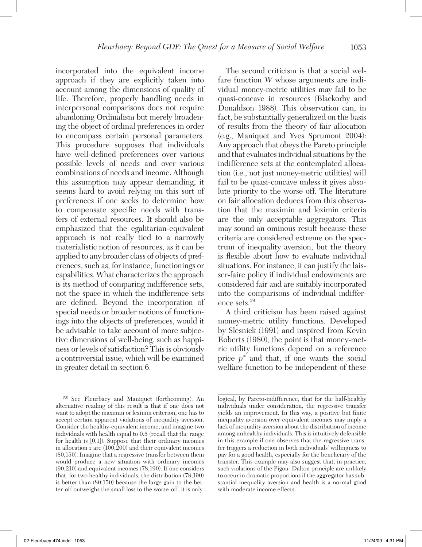incorporated into the equivalent income approach if they are explicitly taken into account among the dimensions of quality of life. Therefore, properly handling needs in interpersonal comparisons does not require abandoning Ordinalism but merely broadening the object of ordinal preferences in order to encompass certain personal parameters. This procedure supposes that individuals have well-defined preferences over various possible levels of needs and over various combinations of needs and income. Although this assumption may appear demanding, it seems hard to avoid relying on this sort of preferences if one seeks to determine how to compensate specific needs with transfers of external resources. It should also be emphasized that the egalitarian-equivalent approach is not really tied to a narrowly materialistic notion of resources, as it can be applied to any broader class of objects of preferences, such as, for instance, functionings or capabilities. What characterizesthe approach is its method of comparing indifference sets, not the space in which the indifference sets are defined. Beyond the incorporation of special needs or broader notions of functionings into the objects of preferences, would it be advisable to take account of more subjective dimensions of well-being, such as happiness or levels of satisfaction? This is obviously a controversial issue, which will be examined in greater detail in section 6.

59 See Fleurbaey and Maniquet (forthcoming). An alternative reading of this result is that if one does not want to adopt the maximin or leximin criterion, one has to accept certain apparent violations of inequality aversion. Consider the healthy-equivalent income, and imagine two individuals with health equal to 0.5 (recall that the range for health is [0,1]). Suppose that their ordinary incomes in allocation  $x$  are  $(100, 200)$  and their equivalent incomes (80,150). Imagine that a regressive transfer between them would produce a new situation with ordinary incomes (90,210) and equivalent incomes (78,190). If one considers that, for two healthy individuals, the distribution (78,190) is better than (80,150) because the large gain to the better-off outweighs the small loss to the worse-off, it is only

The second criticism is that a social welfare function *W* whose arguments are individual money-metric utilities may fail to be quasi-concave in resources (Blackorby and Donaldson 1988). This observation can, in fact, be substantially generalized on the basis of results from the theory of fair allocation (e.g., Maniquet and Yves Sprumont 2004): Any approach that obeys the Pareto principle and that evaluates individual situations by the indifference sets at the contemplated allocation (i.e., not just money-metric utilities) will fail to be quasi-concave unless it gives absolute priority to the worse off. The literature on fair allocation deduces from this observation that the maximin and leximin criteria are the only acceptable aggregators. This may sound an ominous result because these criteria are considered extreme on the spectrum of inequality aversion, but the theory is flexible about how to evaluate individual situations. For instance, it can justify the laisser-faire policy if individual endowments are considered fair and are suitably incorporated into the comparisons of individual indifference sets.59

A third criticism has been raised against money-metric utility functions. Developed by Slesnick (1991) and inspired from Kevin Roberts (1980), the point is that money-metric utility functions depend on a reference price  $p^*$  and that, if one wants the social welfare function to be independent of these

logical, by Pareto-indifference, that for the half-healthy individuals under consideration, the regressive transfer yields an improvement. In this way, a positive but finite inequality aversion over equivalent incomes may imply a lack of inequality aversion about the distribution of income among unhealthy individuals. This is intuitively defensible in this example if one observes that the regressive transfer triggers a reduction in both individuals' willingness to pay for a good health, especially for the beneficiary of the transfer. This example may also suggest that, in practice, such violations of the Pigou–Dalton principle are unlikely to occur in dramatic proportions if the aggregator has substantial inequality aversion and health is a normal good with moderate income effects.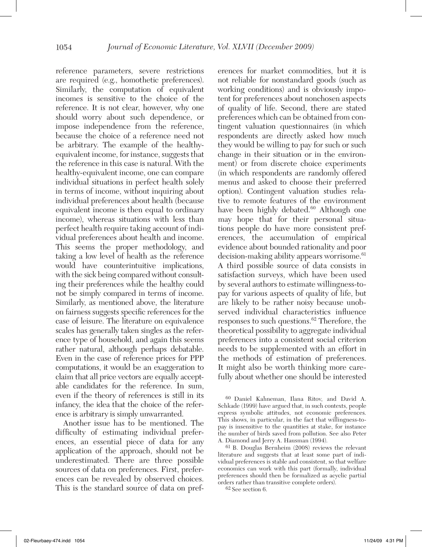reference parameters, severe restrictions are required (e.g., homothetic preferences). Similarly, the computation of equivalent incomes is sensitive to the choice of the reference. It is not clear, however, why one should worry about such dependence, or impose independence from the reference, because the choice of a reference need not be arbitrary. The example of the healthyequivalent income, for instance, suggests that the reference in this case is natural. With the healthy-equivalent income, one can compare individual situations in perfect health solely in terms of income, without inquiring about individual preferences about health (because equivalent income is then equal to ordinary income), whereas situations with less than perfect health require taking account of individual preferences about health and income. This seems the proper methodology, and taking a low level of health as the reference would have counterintuitive implications, with the sick being compared without consulting their preferences while the healthy could not be simply compared in terms of income. Similarly, as mentioned above, the literature on fairness suggests specific references for the case of leisure. The literature on equivalence scales has generally taken singles as the reference type of household, and again this seems rather natural, although perhaps debatable. Even in the case of reference prices for PPP computations, it would be an exaggeration to claim that all price vectors are equally acceptable candidates for the reference. In sum, even if the theory of references is still in its infancy, the idea that the choice of the reference is arbitrary is simply unwarranted.

Another issue has to be mentioned. The difficulty of estimating individual preferences, an essential piece of data for any application of the approach, should not be underestimated. There are three possible sources of data on preferences. First, preferences can be revealed by observed choices. This is the standard source of data on preferences for market commodities, but it is not reliable for nonstandard goods (such as working conditions) and is obviously impotent for preferences about nonchosen aspects of quality of life. Second, there are stated preferences which can be obtained from contingent valuation questionnaires (in which respondents are directly asked how much they would be willing to pay for such or such change in their situation or in the environment) or from discrete choice experiments (in which respondents are randomly offered menus and asked to choose their preferred option). Contingent valuation studies relative to remote features of the environment have been highly debated.<sup>60</sup> Although one may hope that for their personal situations people do have more consistent preferences, the accumulation of empirical evidence about bounded rationality and poor decision-making ability appears worrisome.<sup>61</sup> A third possible source of data consists in satisfaction surveys, which have been used by several authors to estimate willingness-topay for various aspects of quality of life, but are likely to be rather noisy because unobserved individual characteristics influence responses to such questions.62 Therefore, the theoretical possibility to aggregate individual preferences into a consistent social criterion needs to be supplemented with an effort in the methods of estimation of preferences. It might also be worth thinking more carefully about whether one should be interested

62 See section 6.

<sup>60</sup> Daniel Kahneman, Ilana Ritov, and David A. Schkade (1999) have argued that, in such contexts, people express symbolic attitudes, not economic preferences. This shows, in particular, in the fact that willingness-topay is insensitive to the quantities at stake, for instance the number of birds saved from pollution. See also Peter A. Diamond and Jerry A. Hausman (1994).

<sup>61</sup> B. Douglas Bernheim (2008) reviews the relevant literature and suggests that at least some part of individual preferences is stable and consistent, so that welfare economics can work with this part (formally, individual preferences should then be formalized as acyclic partial orders rather than transitive complete orders).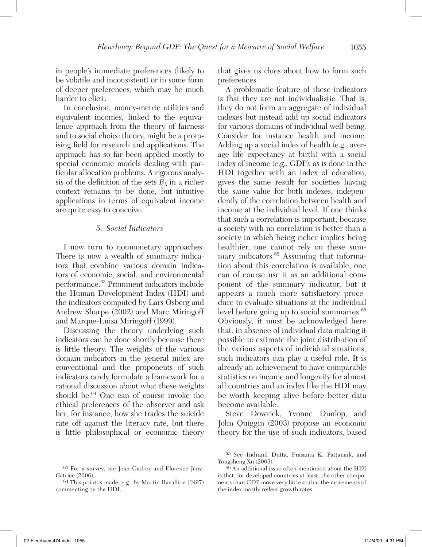in people's immediate preferences (likely to be volatile and inconsistent) or in some form of deeper preferences, which may be much harder to elicit.

In conclusion, money-metric utilities and equivalent incomes, linked to the equivalence approach from the theory of fairness and to social choice theory, might be a promising field for research and applications. The approach has so far been applied mostly to special economic models dealing with particular allocation problems. A rigorous analysis of the definition of the sets  $B_\lambda$  in a richer context remains to be done, but intuitive applications in terms of equivalent income are quite easy to conceive.

#### 5. *Social Indicators*

I now turn to nonmonetary approaches. There is now a wealth of summary indicators that combine various domain indicators of economic, social, and environmental performance.63 Prominent indicators include the Human Development Index (HDI) and the indicators computed by Lars Osberg and Andrew Sharpe (2002) and Marc Miringoff and Marque-Luisa Miringoff (1999).

Discussing the theory underlying such indicators can be done shortly because there is little theory. The weights of the various domain indicators in the general index are conventional and the proponents of such indicators rarely formulate a framework for a rational discussion about what these weights should be.64 One can of course invoke the ethical preferences of the observer and ask her, for instance, how she trades the suicide rate off against the literacy rate, but there is little philosophical or economic theory that gives us clues about how to form such preferences.

A problematic feature of these indicators is that they are not individualistic. That is, they do not form an aggregate of individual indexes but instead add up social indicators for various domains of individual well-being. Consider for instance health and income. Adding up a social index of health (e.g., average life expectancy at birth) with a social index of income (e.g., GDP), as is done in the HDI together with an index of education, gives the same result for societies having the same value for both indexes, independently of the correlation between health and income at the individual level. If one thinks that such a correlation is important, because a society with no correlation is better than a society in which being richer implies being healthier, one cannot rely on these summary indicators.<sup>65</sup> Assuming that information about this correlation is available, one can of course use it as an additional component of the summary indicator, but it appears a much more satisfactory procedure to evaluate situations at the individual level before going up to social summaries.<sup>66</sup> Obviously, it must be acknowledged here that, in absence of individual data making it possible to estimate the joint distribution of the various aspects of individual situations, such indicators can play a useful role. It is already an achievement to have comparable statistics on income and longevity for almost all countries and an index like the HDI may be worth keeping alive before better data become available.

Steve Dowrick, Yvonne Dunlop, and John Quiggin (2003) propose an economic theory for the use of such indicators, based

<sup>63</sup> For a survey, see Jean Gadrey and Florence Jany-Catrice (2006).

<sup>64</sup> This point is made, e.g., by Martin Ravallion (1997) commenting on the HDI.

<sup>65</sup> See Indranil Dutta, Prasanta K. Pattanaik, and Yongsheng Xu (2003).

<sup>66</sup> An additional issue often mentioned about the HDI is that, for developed countries at least, the other components than GDP move very little so that the movements of the index mostly reflect growth rates.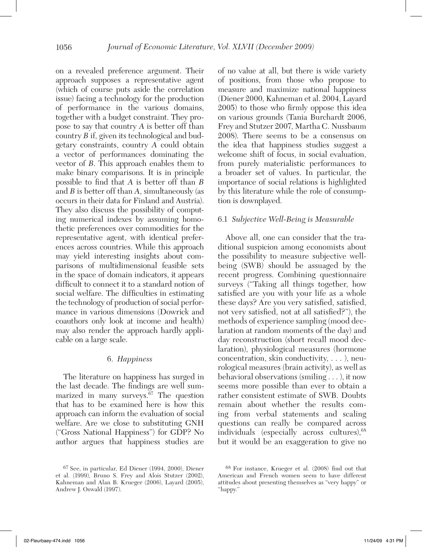on a revealed preference argument. Their approach supposes a representative agent (which of course puts aside the correlation issue) facing a technology for the production of performance in the various domains, together with a budget constraint. They propose to say that country *A* is better off than country *B* if, given its technological and budgetary constraints, country *A* could obtain a vector of performances dominating the vector of *B*. This approach enables them to make binary comparisons. It is in principle possible to find that *A* is better off than *B* and *B* is better off than *A*, simultaneously (as occurs in their data for Finland and Austria). They also discuss the possibility of computing numerical indexes by assuming homothetic preferences over commodities for the representative agent, with identical preferences across countries. While this approach may yield interesting insights about comparisons of multidimensional feasible sets in the space of domain indicators, it appears difficult to connect it to a standard notion of social welfare. The difficulties in estimating the technology of production of social performance in various dimensions (Dowrick and coauthors only look at income and health) may also render the approach hardly applicable on a large scale.

#### 6. *Happiness*

The literature on happiness has surged in the last decade. The findings are well summarized in many surveys. $67$  The question that has to be examined here is how this approach can inform the evaluation of social welfare. Are we close to substituting GNH ("Gross National Happiness") for GDP? No author argues that happiness studies are

of no value at all, but there is wide variety of positions, from those who propose to measure and maximize national happiness (Diener 2000, Kahneman et al. 2004, Layard 2005) to those who firmly oppose this idea on various grounds (Tania Burchardt 2006, Frey and Stutzer 2007, Martha C. Nussbaum 2008). There seems to be a consensus on the idea that happiness studies suggest a welcome shift of focus, in social evaluation, from purely materialistic performances to a broader set of values. In particular, the importance of social relations is highlighted by this literature while the role of consumption is downplayed.

#### 6.1 *Subjective Well-Being is Measurable*

Above all, one can consider that the traditional suspicion among economists about the possibility to measure subjective wellbeing (SWB) should be assuaged by the recent progress. Combining questionnaire surveys ("Taking all things together, how satisfied are you with your life as a whole these days? Are you very satisfied, satisfied, not very satisfied, not at all satisfied?"), the methods of experience sampling (mood declaration at random moments of the day) and day reconstruction (short recall mood declaration), physiological measures (hormone concentration, skin conductivity, . . . ), neurological measures (brain activity), as well as behavioral observations (smiling . . . ), it now seems more possible than ever to obtain a rather consistent estimate of SWB. Doubts remain about whether the results coming from verbal statements and scaling questions can really be compared across individuals (especially across cultures),<sup>68</sup> but it would be an exaggeration to give no

<sup>67</sup> See, in particular, Ed Diener (1994, 2000), Diener et al. (1999), Bruno S. Frey and Alois Stutzer (2002), Kahneman and Alan B. Krueger (2006), Layard (2005), Andrew J. Oswald (1997).

<sup>68</sup> For instance, Krueger et al. (2008) find out that American and French women seem to have different attitudes about presenting themselves as "very happy" or "happy."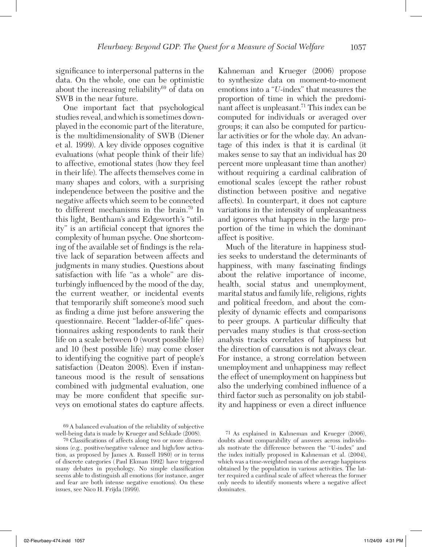significance to interpersonal patterns in the data. On the whole, one can be optimistic about the increasing reliability<sup>69</sup> of data on SWB in the near future.

One important fact that psychological studies reveal, and which is sometimes downplayed in the economic part of the literature, is the multidimensionality of SWB (Diener et al. 1999). A key divide opposes cognitive evaluations (what people think of their life) to affective, emotional states (how they feel in their life). The affects themselves come in many shapes and colors, with a surprising independence between the positive and the negative affects which seem to be connected to different mechanisms in the brain.70 In this light, Bentham's and Edgeworth's "utility" is an artificial concept that ignores the complexity of human psyche. One shortcoming of the available set of findings is the relative lack of separation between affects and judgments in many studies. Questions about satisfaction with life "as a whole" are disturbingly influenced by the mood of the day, the current weather, or incidental events that temporarily shift someone's mood such as finding a dime just before answering the questionnaire. Recent "ladder-of-life" questionnaires asking respondents to rank their life on a scale between 0 (worst possible life) and 10 (best possible life) may come closer to identifying the cognitive part of people's satisfaction (Deaton 2008). Even if instantaneous mood is the result of sensations combined with judgmental evaluation, one may be more confident that specific surveys on emotional states do capture affects.

Kahneman and Krueger (2006) propose to synthesize data on moment-to-moment emotions into a "*U*-index" that measures the proportion of time in which the predominant affect is unpleasant.<sup>71</sup> This index can be computed for individuals or averaged over groups; it can also be computed for particular activities or for the whole day. An advantage of this index is that it is cardinal (it makes sense to say that an individual has 20 percent more unpleasant time than another) without requiring a cardinal calibration of emotional scales (except the rather robust distinction between positive and negative affects). In counterpart, it does not capture variations in the intensity of unpleasantness and ignores what happens in the large proportion of the time in which the dominant affect is positive.

Much of the literature in happiness studies seeks to understand the determinants of happiness, with many fascinating findings about the relative importance of income, health, social status and unemployment, marital status and family life, religions, rights and political freedom, and about the complexity of dynamic effects and comparisons to peer groups. A particular difficulty that pervades many studies is that cross-section analysis tracks correlates of happiness but the direction of causation is not always clear. For instance, a strong correlation between unemployment and unhappiness may reflect the effect of unemployment on happiness but also the underlying combined influence of a third factor such as personality on job stability and happiness or even a direct influence

<sup>69</sup> A balanced evaluation of the reliability of subjective well-being data is made by Krueger and Schkade (2008).

<sup>70</sup> Classifications of affects along two or more dimensions (e.g., positive/negative valence and high/low activation, as proposed by James A. Russell 1980) or in terms of discrete categories (Paul Ekman 1992) have triggered many debates in psychology. No simple classification seems able to distinguish all emotions (for instance, anger and fear are both intense negative emotions). On these issues, see Nico H. Frijda (1999).

<sup>71</sup> As explained in Kahneman and Krueger (2006), doubts about comparability of answers across individuals motivate the difference between the "U-index" and the index initially proposed in Kahneman et al. (2004), which was a time-weighted mean of the average happiness obtained by the population in various activities. The latter required a cardinal scale of affect whereas the former only needs to identify moments where a negative affect dominates.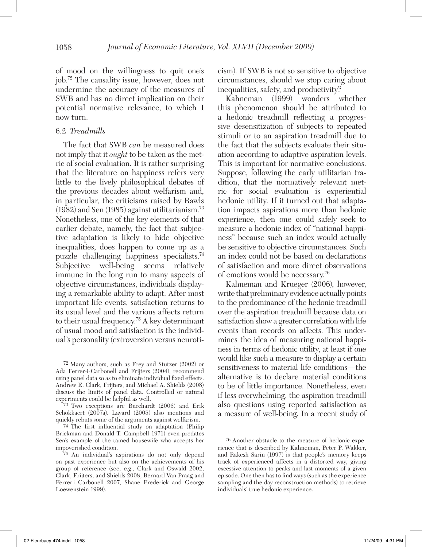of mood on the willingness to quit one's job.72 The causality issue, however, does not undermine the accuracy of the measures of SWB and has no direct implication on their potential normative relevance, to which I now turn.

#### 6.2 *Treadmills*

The fact that SWB *can* be measured does not imply that it *ought* to be taken as the metric of social evaluation. It is rather surprising that the literature on happiness refers very little to the lively philosophical debates of the previous decades about welfarism and, in particular, the criticisms raised by Rawls  $(1982)$  and Sen  $(1985)$  against utilitarianism.<sup>73</sup> Nonetheless, one of the key elements of that earlier debate, namely, the fact that subjective adaptation is likely to hide objective inequalities, does happen to come up as a puzzle challenging happiness specialists.74 Subjective well-being seems relatively immune in the long run to many aspects of objective circumstances, individuals displaying a remarkable ability to adapt. After most important life events, satisfaction returns to its usual level and the various affects return to their usual frequency.75 A key determinant of usual mood and satisfaction is the individual's personality (extroversion versus neuroticism). If SWB is not so sensitive to objective circumstances, should we stop caring about inequalities, safety, and productivity?

Kahneman (1999) wonders whether this phenomenon should be attributed to a hedonic treadmill reflecting a progressive desensitization of subjects to repeated stimuli or to an aspiration treadmill due to the fact that the subjects evaluate their situation according to adaptive aspiration levels. This is important for normative conclusions. Suppose, following the early utilitarian tradition, that the normatively relevant metric for social evaluation is experiential hedonic utility. If it turned out that adaptation impacts aspirations more than hedonic experience, then one could safely seek to measure a hedonic index of "national happiness" because such an index would actually be sensitive to objective circumstances. Such an index could not be based on declarations of satisfaction and more direct observations of emotions would be necessary.76

Kahneman and Krueger (2006), however, write that preliminary evidence actually points to the predominance of the hedonic treadmill over the aspiration treadmill because data on satisfaction show a greater correlation with life events than records on affects. This undermines the idea of measuring national happiness in terms of hedonic utility, at least if one would like such a measure to display a certain sensitiveness to material life conditions—the alternative is to declare material conditions to be of little importance. Nonetheless, even if less overwhelming, the aspiration treadmill also questions using reported satisfaction as a measure of well-being. In a recent study of

<sup>72</sup> Many authors, such as Frey and Stutzer (2002) or Ada Ferrer-i-Carbonell and Frijters (2004), recommend using panel data so as to eliminate individual fixed effects. Andrew E. Clark, Frijters, and Michael A. Shields (2008) discuss the limits of panel data. Controlled or natural experiments could be helpful as well.

<sup>73</sup> Two exceptions are Burchardt (2006) and Erik Schokkaert (2007a). Layard (2005) also mentions and quickly rebuts some of the arguments against welfarism.

<sup>74</sup> The first influential study on adaptation (Philip Brickman and Donald T. Campbell 1971) even predates Sen's example of the tamed housewife who accepts her impoverished condition.

<sup>75</sup> An individual's aspirations do not only depend on past experience but also on the achievements of his group of reference (see, e.g., Clark and Oswald 2002, Clark, Frijters, and Shields 2008, Bernard Van Praag and Ferrer-i-Carbonell 2007, Shane Frederick and George Loewenstein 1999).

<sup>76</sup> Another obstacle to the measure of hedonic experience that is described by Kahneman, Peter P. Wakker, and Rakesh Sarin (1997) is that people's memory keeps track of experienced affects in a distorted way, giving excessive attention to peaks and last moments of a given episode. One then has to find ways (such as the experience sampling and the day reconstruction methods) to retrieve individuals' true hedonic experience.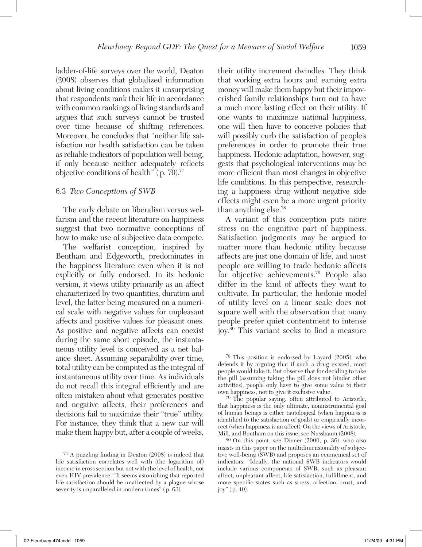ladder-of-life surveys over the world, Deaton (2008) observes that globalized information about living conditions makes it unsurprising that respondents rank their life in accordance with common rankings of living standards and argues that such surveys cannot be trusted over time because of shifting references. Moreover, he concludes that "neither life satisfaction nor health satisfaction can be taken as reliable indicators of population well-being, if only because neither adequately reflects objective conditions of health" (p.  $70$ ).<sup>77</sup>

## 6.3 *Two Conceptions of SWB*

The early debate on liberalism versus welfarism and the recent literature on happiness suggest that two normative conceptions of how to make use of subjective data compete.

The welfarist conception, inspired by Bentham and Edgeworth, predominates in the happiness literature even when it is not explicitly or fully endorsed. In its hedonic version, it views utility primarily as an affect characterized by two quantities, duration and level, the latter being measured on a numerical scale with negative values for unpleasant affects and positive values for pleasant ones. As positive and negative affects can coexist during the same short episode, the instantaneous utility level is conceived as a net balance sheet. Assuming separability over time, total utility can be computed as the integral of instantaneous utility over time. As individuals do not recall this integral efficiently and are often mistaken about what generates positive and negative affects, their preferences and decisions fail to maximize their "true" utility. For instance, they think that a new car will make them happy but, after a couple of weeks,

their utility increment dwindles. They think that working extra hours and earning extra money will make them happy but their impoverished family relationships turn out to have a much more lasting effect on their utility. If one wants to maximize national happiness, one will then have to conceive policies that will possibly curb the satisfaction of people's preferences in order to promote their true happiness. Hedonic adaptation, however, suggests that psychological interventions may be more efficient than most changes in objective life conditions. In this perspective, researching a happiness drug without negative side effects might even be a more urgent priority than anything else.78

A variant of this conception puts more stress on the cognitive part of happiness. Satisfaction judgments may be argued to matter more than hedonic utility because affects are just one domain of life, and most people are willing to trade hedonic affects for objective achievements.79 People also differ in the kind of affects they want to cultivate. In particular, the hedonic model of utility level on a linear scale does not square well with the observation that many people prefer quiet contentment to intense joy.80 This variant seeks to find a measure

<sup>77</sup> A puzzling finding in Deaton (2008) is indeed that life satisfaction correlates well with (the logarithm of) income in cross section but not with the level of health, not even HIV prevalence. "It seems astonishing that reported life satisfaction should be unaffected by a plague whose severity is unparalleled in modern times" (p. 63).

<sup>78</sup> This position is endorsed by Layard (2005), who defends it by arguing that if such a drug existed, most people would take it. But observe that for deciding to take the pill (assuming taking the pill does not hinder other activities), people only have to give some value to their own happiness, not to give it exclusive value.

<sup>79</sup> The popular saying, often attributed to Aristotle, that happiness is the only ultimate, noninstrumental goal of human beings is either tautological (when happiness is identified to the satisfaction of goals) or empirically incorrect (when happiness is an affect). On the views of Aristotle, Mill, and Bentham on this issue, see Nussbaum (2008).

<sup>80</sup> On this point, see Diener (2000, p. 36), who also insists in this paper on the multidimensionality of subjective well-being (SWB) and proposes an ecumenical set of indicators: "Ideally, the national SWB indicators would include various components of SWB, such as pleasant affect, unpleasant affect, life satisfaction, fulfillment, and more specific states such as stress, affection, trust, and joy" (p. 40).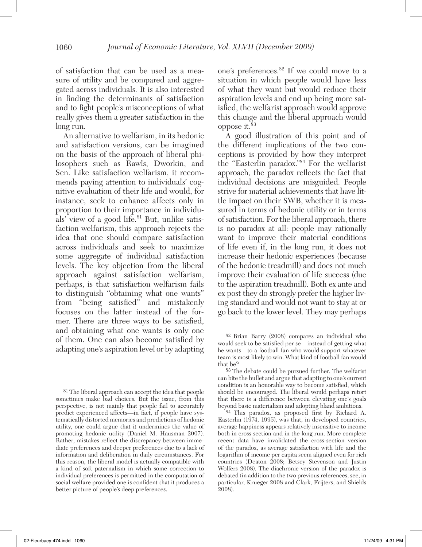of satisfaction that can be used as a measure of utility and be compared and aggregated across individuals. It is also interested in finding the determinants of satisfaction and to fight people's misconceptions of what really gives them a greater satisfaction in the long run.

An alternative to welfarism, in its hedonic and satisfaction versions, can be imagined on the basis of the approach of liberal philosophers such as Rawls, Dworkin, and Sen. Like satisfaction welfarism, it recommends paying attention to individuals' cognitive evaluation of their life and would, for instance, seek to enhance affects only in proportion to their importance in individuals' view of a good life.<sup>81</sup> But, unlike satisfaction welfarism, this approach rejects the idea that one should compare satisfaction across individuals and seek to maximize some aggregate of individual satisfaction levels. The key objection from the liberal approach against satisfaction welfarism, perhaps, is that satisfaction welfarism fails to distinguish "obtaining what one wants" from "being satisfied" and mistakenly focuses on the latter instead of the former. There are three ways to be satisfied, and obtaining what one wants is only one of them. One can also become satisfied by adapting one's aspiration level or by adapting

81 The liberal approach can accept the idea that people sometimes make bad choices. But the issue, from this perspective, is not mainly that people fail to accurately predict experienced affects—in fact, if people have systematically distorted memories and predictions of hedonic utility, one could argue that it undermines the value of promoting hedonic utility (Daniel M. Hausman 2007). Rather, mistakes reflect the discrepancy between immediate preferences and deeper preferences due to a lack of information and deliberation in daily circumstances. For this reason, the liberal model is actually compatible with a kind of soft paternalism in which some correction to individual preferences is permitted in the computation of social welfare provided one is confident that it produces a better picture of people's deep preferences.

one's preferences.82 If we could move to a situation in which people would have less of what they want but would reduce their aspiration levels and end up being more satisfied, the welfarist approach would approve this change and the liberal approach would oppose it.<sup>83</sup>

A good illustration of this point and of the different implications of the two conceptions is provided by how they interpret the "Easterlin paradox."84 For the welfarist approach, the paradox reflects the fact that individual decisions are misguided. People strive for material achievements that have little impact on their SWB, whether it is measured in terms of hedonic utility or in terms of satisfaction. For the liberal approach, there is no paradox at all: people may rationally want to improve their material conditions of life even if, in the long run, it does not increase their hedonic experiences (because of the hedonic treadmill) and does not much improve their evaluation of life success (due to the aspiration treadmill). Both ex ante and ex post they do strongly prefer the higher living standard and would not want to stay at or go back to the lower level. They may perhaps

82 Brian Barry (2008) compares an individual who would seek to be satisfied per se—instead of getting what he wants—to a football fan who would support whatever team is most likely to win. What kind of football fan would that be?

83 The debate could be pursued further. The welfarist can bite the bullet and argue that adapting to one's current condition is an honorable way to become satisfied, which should be encouraged. The liberal would perhaps retort that there is a difference between elevating one's goals beyond basic materialism and adopting bland ambitions.

84 This paradox, as proposed first by Richard A. Easterlin (1974, 1995), was that, in developed countries, average happiness appears relatively insensitive to income both in cross section and in the long run. More complete recent data have invalidated the cross-section version of the paradox, as average satisfaction with life and the logarithm of income per capita seem aligned even for rich countries (Deaton 2008; Betsey Stevenson and Justin Wolfers 2008). The diachronic version of the paradox is debated (in addition to the two previous references, see, in particular, Krueger 2008 and Clark, Frijters, and Shields 2008).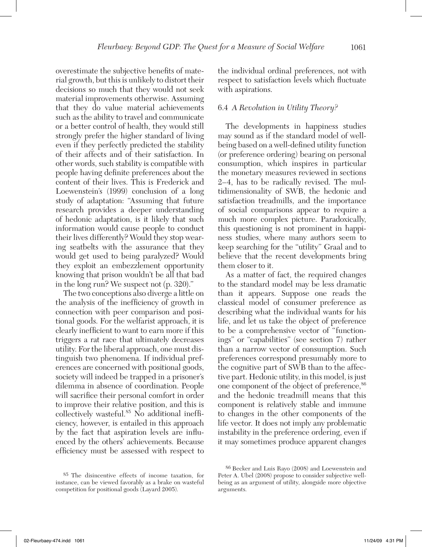overestimate the subjective benefits of material growth, but this is unlikely to distort their decisions so much that they would not seek material improvements otherwise. Assuming that they do value material achievements such as the ability to travel and communicate or a better control of health, they would still strongly prefer the higher standard of living even if they perfectly predicted the stability of their affects and of their satisfaction. In other words, such stability is compatible with people having definite preferences about the content of their lives. This is Frederick and Loewenstein's (1999) conclusion of a long study of adaptation: "Assuming that future research provides a deeper understanding of hedonic adaptation, is it likely that such information would cause people to conduct their lives differently? Would they stop wearing seatbelts with the assurance that they would get used to being paralyzed? Would they exploit an embezzlement opportunity knowing that prison wouldn't be all that bad in the long run? We suspect not (p. 320)."

The two conceptions also diverge a little on the analysis of the inefficiency of growth in connection with peer comparison and positional goods. For the welfarist approach, it is clearly inefficient to want to earn more if this triggers a rat race that ultimately decreases utility. Forthe liberal approach, one must distinguish two phenomena. If individual preferences are concerned with positional goods, society will indeed be trapped in a prisoner's dilemma in absence of coordination. People will sacrifice their personal comfort in order to improve their relative position, and this is collectively wasteful.85 No additional inefficiency, however, is entailed in this approach by the fact that aspiration levels are influenced by the others' achievements. Because efficiency must be assessed with respect to

the individual ordinal preferences, not with respect to satisfaction levels which fluctuate with aspirations.

## 6.4 *A Revolution in Utility Theory?*

The developments in happiness studies may sound as if the standard model of wellbeing based on a well-defined utility function (or preference ordering) bearing on personal consumption, which inspires in particular the monetary measures reviewed in sections 2–4, has to be radically revised. The multidimensionality of SWB, the hedonic and satisfaction treadmills, and the importance of social comparisons appear to require a much more complex picture. Paradoxically, this questioning is not prominent in happiness studies, where many authors seem to keep searching for the "utility" Graal and to believe that the recent developments bring them closer to it.

As a matter of fact, the required changes to the standard model may be less dramatic than it appears. Suppose one reads the classical model of consumer preference as describing what the individual wants for his life, and let us take the object of preference to be a comprehensive vector of "functionings" or "capabilities" (see section 7) rather than a narrow vector of consumption. Such preferences correspond presumably more to the cognitive part of SWB than to the affective part. Hedonic utility, in this model, is just one component of the object of preference,  $86$ and the hedonic treadmill means that this component is relatively stable and immune to changes in the other components of the life vector. It does not imply any problematic instability in the preference ordering, even if it may sometimes produce apparent changes

<sup>85</sup> The disincentive effects of income taxation, for instance, can be viewed favorably as a brake on wasteful competition for positional goods (Layard 2005).

<sup>86</sup> Becker and Luis Rayo (2008) and Loewenstein and Peter A. Ubel (2008) propose to consider subjective wellbeing as an argument of utility, alongside more objective arguments.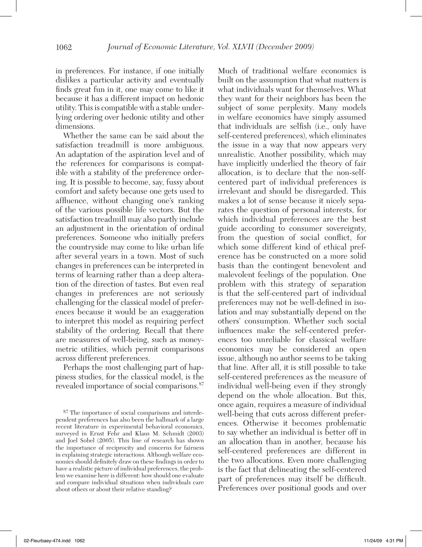in preferences. For instance, if one initially dislikes a particular activity and eventually finds great fun in it, one may come to like it because it has a different impact on hedonic utility. This is compatible with a stable underlying ordering over hedonic utility and other dimensions.

Whether the same can be said about the satisfaction treadmill is more ambiguous. An adaptation of the aspiration level and of the references for comparisons is compatible with a stability of the preference ordering. It is possible to become, say, fussy about comfort and safety because one gets used to affluence, without changing one's ranking of the various possible life vectors. But the satisfaction treadmill may also partly include an adjustment in the orientation of ordinal preferences. Someone who initially prefers the countryside may come to like urban life after several years in a town. Most of such changes in preferences can be interpreted in terms of learning rather than a deep alteration of the direction of tastes. But even real changes in preferences are not seriously challenging for the classical model of preferences because it would be an exaggeration to interpret this model as requiring perfect stability of the ordering. Recall that there are measures of well-being, such as moneymetric utilities, which permit comparisons across different preferences.

Perhaps the most challenging part of happiness studies, for the classical model, is the revealed importance of social comparisons.<sup>87</sup>

Much of traditional welfare economics is built on the assumption that what matters is what individuals want for themselves. What they want for their neighbors has been the subject of some perplexity. Many models in welfare economics have simply assumed that individuals are selfish (i.e., only have self-centered preferences), which eliminates the issue in a way that now appears very unrealistic. Another possibility, which may have implicitly underlied the theory of fair allocation, is to declare that the non-selfcentered part of individual preferences is irrelevant and should be disregarded. This makes a lot of sense because it nicely separates the question of personal interests, for which individual preferences are the best guide according to consumer sovereignty, from the question of social conflict, for which some different kind of ethical preference has be constructed on a more solid basis than the contingent benevolent and malevolent feelings of the population. One problem with this strategy of separation is that the self-centered part of individual preferences may not be well-defined in isolation and may substantially depend on the others' consumption. Whether such social influences make the self-centered preferences too unreliable for classical welfare economics may be considered an open issue, although no author seems to be taking that line. After all, it is still possible to take self-centered preferences as the measure of individual well-being even if they strongly depend on the whole allocation. But this, once again, requires a measure of individual well-being that cuts across different preferences. Otherwise it becomes problematic to say whether an individual is better off in an allocation than in another, because his self-centered preferences are different in the two allocations. Even more challenging is the fact that delineating the self-centered part of preferences may itself be difficult. Preferences over positional goods and over

<sup>87</sup> The importance of social comparisons and interdependent preferences has also been the hallmark of a large recent literature in experimental behavioral economics, surveyed in Ernst Fehr and Klaus M. Schmidt (2003) and Joel Sobel (2005). This line of research has shown the importance of reciprocity and concerns for fairness in explaining strategic interactions. Although welfare economics should definitely draw on these findings in order to have a realistic picture of individual preferences, the problem we examine here is different: how should one evaluate and compare individual situations when individuals care about others or about their relative standing?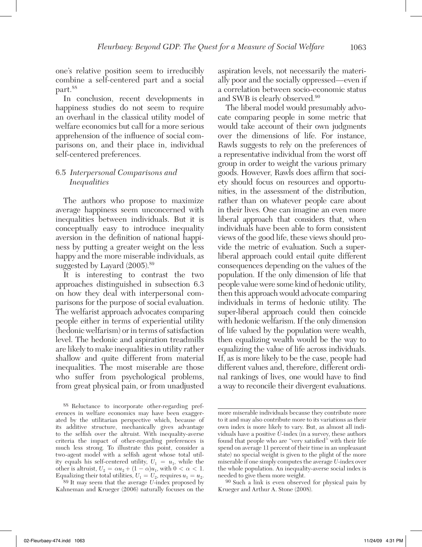one's relative position seem to irreducibly combine a self-centered part and a social part.<sup>88</sup>

In conclusion, recent developments in happiness studies do not seem to require an overhaul in the classical utility model of welfare economics but call for a more serious apprehension of the influence of social comparisons on, and their place in, individual self-centered preferences.

## 6.5 *Interpersonal Comparisons and Inequalities*

The authors who propose to maximize average happiness seem unconcerned with inequalities between individuals. But it is conceptually easy to introduce inequality aversion in the definition of national happiness by putting a greater weight on the less happy and the more miserable individuals, as suggested by Layard (2005).<sup>89</sup>

It is interesting to contrast the two approaches distinguished in subsection 6.3 on how they deal with interpersonal comparisons for the purpose of social evaluation. The welfarist approach advocates comparing people either in terms of experiential utility (hedonic welfarism) or in terms of satisfaction level. The hedonic and aspiration treadmills are likely to make inequalities in utility rather shallow and quite different from material inequalities. The most miserable are those who suffer from psychological problems, from great physical pain, or from unadjusted

<sup>89</sup> It may seem that the average *U*-index proposed by Kahneman and Krueger (2006) naturally focuses on the

aspiration levels, not necessarily the materially poor and the socially oppressed—even if a correlation between socio-economic status and SWB is clearly observed.<sup>90</sup>

The liberal model would presumably advocate comparing people in some metric that would take account of their own judgments over the dimensions of life. For instance, Rawls suggests to rely on the preferences of a representative individual from the worst off group in order to weight the various primary goods. However, Rawls does affirm that society should focus on resources and opportunities, in the assessment of the distribution, rather than on whatever people care about in their lives. One can imagine an even more liberal approach that considers that, when individuals have been able to form consistent views of the good life, these views should provide the metric of evaluation. Such a superliberal approach could entail quite different consequences depending on the values of the population. If the only dimension of life that people valuewere some kind of hedonic utility, then this approach would advocate comparing individuals in terms of hedonic utility. The super-liberal approach could then coincide with hedonic welfarism. If the only dimension of life valued by the population were wealth, then equalizing wealth would be the way to equalizing the value of life across individuals. If, as is more likely to be the case, people had different values and, therefore, different ordinal rankings of lives, one would have to find a way to reconcile their divergent evaluations.

<sup>88</sup> Reluctance to incorporate other-regarding preferences in welfare economics may have been exaggerated by the utilitarian perspective which, because of its additive structure, mechanically gives advantage to the selfish over the altruist. With inequality-averse criteria the impact of other-regarding preferences is much less strong. To illustrate this point, consider a two-agent model with a selfish agent whose total utility equals his self-centered utility,  $U_1 = u_1$ , while the other is altruist,  $U_2 = \alpha u_2 + (1 - \alpha) u_1$ , with  $0 < \alpha < 1$ .<br>Equalizing their total utilities,  $U_1 = U_2$ , requires  $u_1 = u_2$ .

more miserable individuals because they contribute more to it and may also contribute more to its variations as their own index is more likely to vary. But, as almost all individuals have a positive *U*-index (in a survey, these authors found that people who are "very satisfied" with their life spend on average 11 percent of their time in an unpleasant state) no special weight is given to the plight of the more miserable if one simply computes the average *U*-index over the whole population. An inequality-averse social index is needed to give them more weight.

<sup>90</sup> Such a link is even observed for physical pain by Krueger and Arthur A. Stone (2008).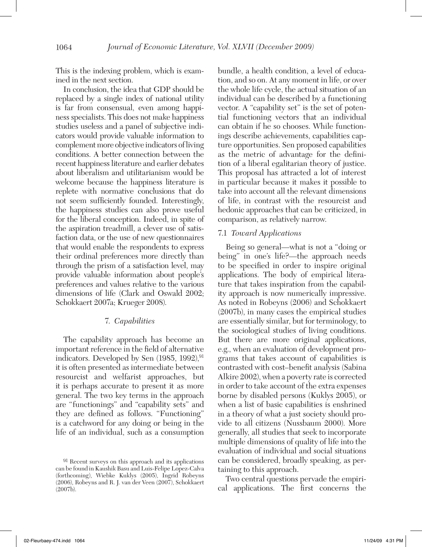This is the indexing problem, which is examined in the next section.

In conclusion, the idea that GDP should be replaced by a single index of national utility is far from consensual, even among happiness specialists. This does not make happiness studies useless and a panel of subjective indicators would provide valuable information to complement more objective indicators of living conditions. A better connection between the recent happiness literature and earlier debates about liberalism and utilitarianism would be welcome because the happiness literature is replete with normative conclusions that do not seem sufficiently founded. Interestingly, the happiness studies can also prove useful for the liberal conception. Indeed, in spite of the aspiration treadmill, a clever use of satisfaction data, or the use of new questionnaires that would enable the respondents to express their ordinal preferences more directly than through the prism of a satisfaction level, may provide valuable information about people's preferences and values relative to the various dimensions of life (Clark and Oswald 2002; Schokkaert 2007a; Krueger 2008).

#### 7. *Capabilities*

The capability approach has become an important reference in the field of alternative indicators. Developed by Sen  $(1985, 1992)^{91}$ it is often presented as intermediate between resourcist and welfarist approaches, but it is perhaps accurate to present it as more general. The two key terms in the approach are "functionings" and "capability sets" and they are defined as follows. "Functioning" is a catchword for any doing or being in the life of an individual, such as a consumption

bundle, a health condition, a level of education, and so on. At any moment in life, or over the whole life cycle, the actual situation of an individual can be described by a functioning vector. A "capability set" is the set of potential functioning vectors that an individual can obtain if he so chooses. While functionings describe achievements, capabilities capture opportunities. Sen proposed capabilities as the metric of advantage for the definition of a liberal egalitarian theory of justice. This proposal has attracted a lot of interest in particular because it makes it possible to take into account all the relevant dimensions of life, in contrast with the resourcist and hedonic approaches that can be criticized, in comparison, as relatively narrow.

#### 7.1 *Toward Applications*

Being so general—what is not a "doing or being" in one's life?—the approach needs to be specified in order to inspire original applications. The body of empirical literature that takes inspiration from the capability approach is now numerically impressive. As noted in Robeyns (2006) and Schokkaert (2007b), in many cases the empirical studies are essentially similar, but for terminology, to the sociological studies of living conditions. But there are more original applications, e.g., when an evaluation of development programs that takes account of capabilities is contrasted with cost–benefit analysis (Sabina Alkire 2002), when a poverty rate is corrected in order to take account of the extra expenses borne by disabled persons (Kuklys 2005), or when a list of basic capabilities is enshrined in a theory of what a just society should provide to all citizens (Nussbaum 2000). More generally, all studies that seek to incorporate multiple dimensions of quality of life into the evaluation of individual and social situations can be considered, broadly speaking, as pertaining to this approach.

Two central questions pervade the empirical applications. The first concerns the

<sup>91</sup> Recent surveys on this approach and its applications can be found in Kaushik Basu and Luis-Felipe Lopez-Calva (forthcoming), Wiebke Kuklys (2005), Ingrid Robeyns (2006), Robeyns and R. J. van der Veen (2007), Schokkaert (2007b).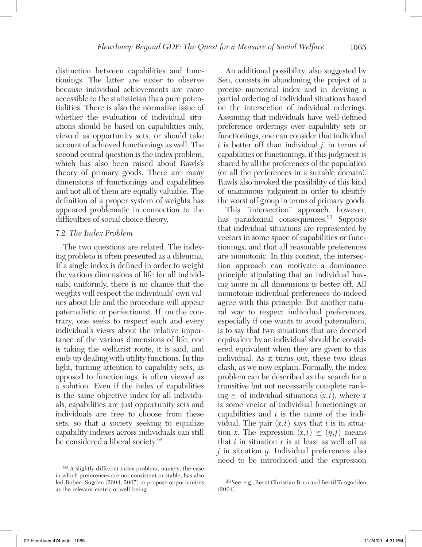distinction between capabilities and functionings. The latter are easier to observe because individual achievements are more accessible to the statistician than pure potentialities. There is also the normative issue of whether the evaluation of individual situations should be based on capabilities only, viewed as opportunity sets, or should take account of achieved functionings as well. The second central question is the index problem, which has also been raised about Rawls's theory of primary goods. There are many dimensions of functionings and capabilities and not all of them are equally valuable. The definition of a proper system of weights has appeared problematic in connection to the difficulties of social choice theory.

#### 7.2 *The Index Problem*

The two questions are related. The indexing problem is often presented as a dilemma. If a single index is defined in order to weight the various dimensions of life for all individuals, uniformly, there is no chance that the weights will respect the individuals' own values about life and the procedure will appear paternalistic or perfectionist. If, on the contrary, one seeks to respect each and every individual's views about the relative importance of the various dimensions of life, one is taking the welfarist route, it is said, and ends up dealing with utility functions. In this light, turning attention to capability sets, as opposed to functionings, is often viewed as a solution. Even if the index of capabilities is the same objective index for all individuals, capabilities are just opportunity sets and individuals are free to choose from these sets, so that a society seeking to equalize capability indexes across individuals can still be considered a liberal society.<sup>92</sup>

An additional possibility, also suggested by Sen, consists in abandoning the project of a precise numerical index and in devising a partial ordering of individual situations based on the intersection of individual orderings. Assuming that individuals have well-defined preference orderings over capability sets or functionings, one can consider that individual *i* is better off than individual *j*, in terms of capabilities or functionings, if this judgment is shared by all the preferences of the population (or all the preferences in a suitable domain). Rawls also invoked the possibility of this kind of unanimous judgment in order to identify the worst off group in terms of primary goods.

This "intersection" approach, however, has paradoxical consequences.<sup>93</sup> Suppose that individual situations are represented by vectors in some space of capabilities or functionings, and that all reasonable preferences are monotonic. In this context, the intersection approach can motivate a dominance principle stipulating that an individual having more in all dimensions is better off. All monotonic individual preferences do indeed agree with this principle. But another natural way to respect individual preferences, especially if one wants to avoid paternalism, is to say that two situations that are deemed equivalent by an individual should be considered equivalent when they are given to this individual. As it turns out, these two ideas clash, as we now explain. Formally, the index problem can be described as the search for a transitive but not necessarily complete ranking  $\succeq$  of individual situations  $(x, i)$ , where *x* is some vector of individual functionings or capabilities and *i* is the name of the individual. The pair (*x*,*i*) says that *i* is in situation *x*. The expression  $(x, i) \succeq (y, j)$  means that *i* in situation *x* is at least as well off as *j* in situation *y*. Individual preferences also need to be introduced and the expression

<sup>92</sup> A slightly different index problem, namely, the case in which preferences are not consistent or stable, has also led Robert Sugden (2004, 2007) to propose opportunities as the relevant metric of well-being.

<sup>93</sup> See, e.g., Bernt Christian Brun and Bertil Tungodden (2004).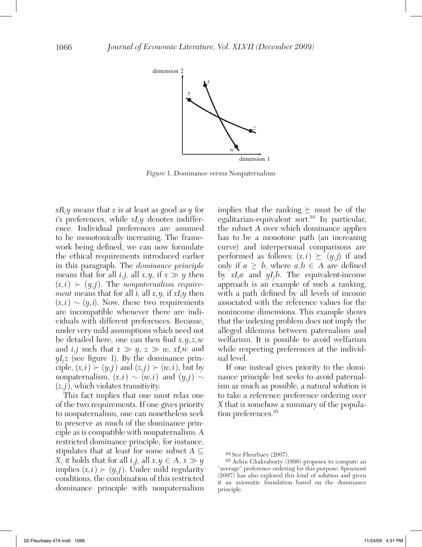

*Figure* 1. Dominance versus Nonpaternalism

*xRiy* means that *x* is at least as good as *y* for  $i$ 's preferences, while  $xI_iy$  denotes indifference. Individual preferences are assumed to be monotonically increasing. The framework being defined, we can now formulate the ethical requirements introduced earlier in this paragraph. The *dominance principle* means that for all *i*,*j*, all *x*, *y*, if  $x \gg y$  then  $(x,i) > (y,j)$ . The *nonpaternalism requirement* means that for all *i*, all  $x, y$ , if  $xI_iy$  then  $(x, i) \sim (y, i)$ . Now, these two requirements are incompatible whenever there are individuals with different preferences. Because, under very mild assumptions which need not be detailed here, one can then find  $x, y, z, w$ and *i*,*j* such that  $x \gg y$ ,  $z \gg w$ ,  $xI_i w$  and  $yI_i z$  (see figure 1). By the dominance principle,  $(x,i) \succ (y,j)$  and  $(z,j) \succ (w,i)$ , but by nonpaternalism,  $(x,i) \sim (w,i)$  and  $(y,j) \sim$ (*z*,*j*), which violates transitivity.

This fact implies that one must relax one of the two requirements. If one gives priority to nonpaternalism, one can nonetheless seek to preserve as much of the dominance principle as is compatible with nonpaternalism. A restricted dominance principle, for instance, stipulates that at least for some subset  $A \subseteq$ *X*, it holds that for all *i*,*j*, all  $x, y \in A$ ,  $x \gg y$ implies (*x*,*i*) ≻ (*y*,*j*). Under mild regularity conditions, the combination of this restricted dominance principle with nonpaternalism

implies that the ranking  $\succeq$  must be of the egalitarian-equivalent sort.<sup>94</sup> In particular, the subset *A* over which dominance applies has to be a monotone path (an increasing curve) and interpersonal comparisons are performed as follows:  $(x, i) \succeq (y, j)$  if and only if  $a \geq b$ , where  $a, b \in A$  are defined by  $xI_ia$  and  $yI_ib$ . The equivalent-income approach is an example of such a ranking, with a path defined by all levels of income associated with the reference values for the nonincome dimensions. This example shows that the indexing problem does not imply the alleged dilemma between paternalism and welfarism. It is possible to avoid welfarism while respecting preferences at the individual level.

If one instead gives priority to the dominance principle but seeks to avoid paternalism as much as possible, a natural solution is to take a reference preference ordering over *X* that is somehow a summary of the population preferences.<sup>95</sup>

<sup>94</sup> See Fleurbaey (2007). <sup>95</sup> Achin Chakraborty (1996) proposes to compute an "average" preference ordering for this purpose. Sprumont (2007) has also explored this kind of solution and given it an axiomatic foundation based on the dominance principle.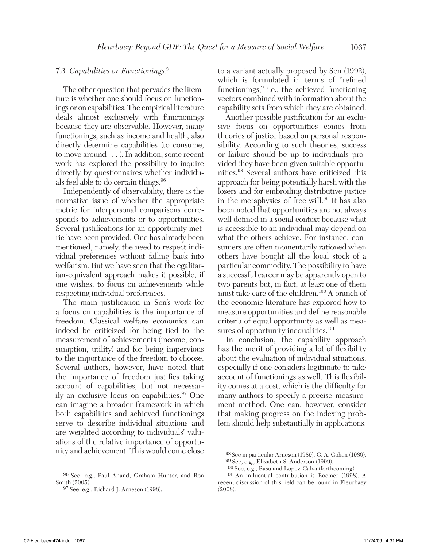## 7.3 *Capabilities or Functionings?*

The other question that pervades the literature is whether one should focus on functionings or on capabilities. The empirical literature deals almost exclusively with functionings because they are observable. However, many functionings, such as income and health, also directly determine capabilities (to consume, to move around . . . ). In addition, some recent work has explored the possibility to inquire directly by questionnaires whether individuals feel able to do certain things.96

Independently of observability, there is the normative issue of whether the appropriate metric for interpersonal comparisons corresponds to achievements or to opportunities. Several justifications for an opportunity metric have been provided. One has already been mentioned, namely, the need to respect individual preferences without falling back into welfarism. But we have seen that the egalitarian-equivalent approach makes it possible, if one wishes, to focus on achievements while respecting individual preferences.

The main justification in Sen's work for a focus on capabilities is the importance of freedom. Classical welfare economics can indeed be criticized for being tied to the measurement of achievements (income, consumption, utility) and for being impervious to the importance of the freedom to choose. Several authors, however, have noted that the importance of freedom justifies taking account of capabilities, but not necessarily an exclusive focus on capabilities.<sup>97</sup> One can imagine a broader framework in which both capabilities and achieved functionings serve to describe individual situations and are weighted according to individuals' valuations of the relative importance of opportunity and achievement. This would come close

to a variant actually proposed by Sen (1992), which is formulated in terms of "refined functionings," i.e., the achieved functioning vectors combined with information about the capability sets from which they are obtained.

Another possible justification for an exclusive focus on opportunities comes from theories of justice based on personal responsibility. According to such theories, success or failure should be up to individuals provided they have been given suitable opportunities.98 Several authors have criticized this approach for being potentially harsh with the losers and for embroiling distributive justice in the metaphysics of free will.<sup>99</sup> It has also been noted that opportunities are not always well defined in a social context because what is accessible to an individual may depend on what the others achieve. For instance, consumers are often momentarily rationed when others have bought all the local stock of a particular commodity. The possibility to have a successful career may be apparently open to two parents but, in fact, at least one of them must take care of the children.100 A branch of the economic literature has explored how to measure opportunities and define reasonable criteria of equal opportunity as well as measures of opportunity inequalities.<sup>101</sup>

In conclusion, the capability approach has the merit of providing a lot of flexibility about the evaluation of individual situations, especially if one considers legitimate to take account of functionings as well. This flexibility comes at a cost, which is the difficulty for many authors to specify a precise measurement method. One can, however, consider that making progress on the indexing problem should help substantially in applications.

98 See in particular Arneson (1989), G. A. Cohen (1989). 99 See, e.g., Elizabeth S. Anderson (1999).

<sup>96</sup> See, e.g., Paul Anand, Graham Hunter, and Ron Smith (2005).

<sup>97</sup> See, e.g., Richard J. Arneson (1998).

<sup>100</sup> See, e.g., Basu and Lopez-Calva (forthcoming).

<sup>101</sup> An influential contribution is Roemer (1998). A recent discussion of this field can be found in Fleurbaey (2008).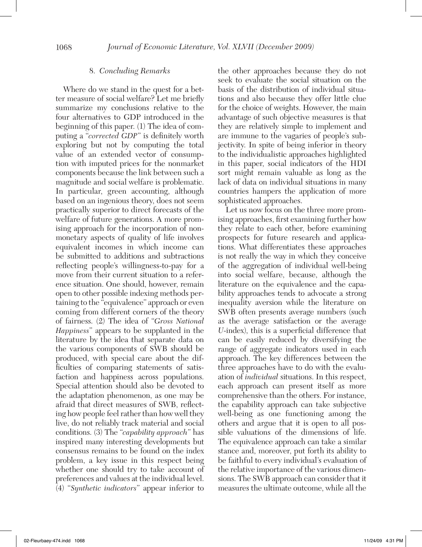## 8. *Concluding Remarks*

Where do we stand in the quest for a better measure of social welfare? Let me briefly summarize my conclusions relative to the four alternatives to GDP introduced in the beginning of this paper. (1) The idea of computing a "*corrected GDP*" is definitely worth exploring but not by computing the total value of an extended vector of consumption with imputed prices for the nonmarket components because the link between such a magnitude and social welfare is problematic. In particular, green accounting, although based on an ingenious theory, does not seem practically superior to direct forecasts of the welfare of future generations. A more promising approach for the incorporation of nonmonetary aspects of quality of life involves equivalent incomes in which income can be submitted to additions and subtractions reflecting people's willingness-to-pay for a move from their current situation to a reference situation. One should, however, remain open to other possible indexing methods pertaining to the "equivalence" approach or even coming from different corners of the theory of fairness. (2) The idea of "*Gross National Happiness*" appears to be supplanted in the literature by the idea that separate data on the various components of SWB should be produced, with special care about the difficulties of comparing statements of satisfaction and happiness across populations. Special attention should also be devoted to the adaptation phenomenon, as one may be afraid that direct measures of SWB, reflecting how people feel rather than how well they live, do not reliably track material and social conditions. (3) The "*capability approach*" has inspired many interesting developments but consensus remains to be found on the index problem, a key issue in this respect being whether one should try to take account of preferences and values at the individual level. (4) "*Synthetic indicators*" appear inferior to

the other approaches because they do not seek to evaluate the social situation on the basis of the distribution of individual situations and also because they offer little clue for the choice of weights. However, the main advantage of such objective measures is that they are relatively simple to implement and are immune to the vagaries of people's subjectivity. In spite of being inferior in theory to the individualistic approaches highlighted in this paper, social indicators of the HDI sort might remain valuable as long as the lack of data on individual situations in many countries hampers the application of more sophisticated approaches.

Let us now focus on the three more promising approaches, first examining further how they relate to each other, before examining prospects for future research and applications. What differentiates these approaches is not really the way in which they conceive of the aggregation of individual well-being into social welfare, because, although the literature on the equivalence and the capability approaches tends to advocate a strong inequality aversion while the literature on SWB often presents average numbers (such as the average satisfaction or the average *U*-index), this is a superficial difference that can be easily reduced by diversifying the range of aggregate indicators used in each approach. The key differences between the three approaches have to do with the evaluation of *individual* situations. In this respect, each approach can present itself as more comprehensive than the others. For instance, the capability approach can take subjective well-being as one functioning among the others and argue that it is open to all possible valuations of the dimensions of life. The equivalence approach can take a similar stance and, moreover, put forth its ability to be faithful to every individual's evaluation of the relative importance of the various dimensions. The SWB approach can consider that it measures the ultimate outcome, while all the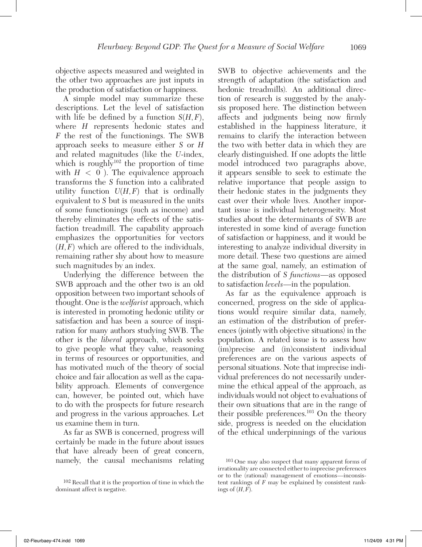objective aspects measured and weighted in the other two approaches are just inputs in the production of satisfaction or happiness.

A simple model may summarize these descriptions. Let the level of satisfaction with life be defined by a function *S*(*H*,*F*), where *H* represents hedonic states and *F* the rest of the functionings. The SWB approach seeks to measure either *S* or *H* and related magnitudes (like the *U*-index, which is roughly<sup>102</sup> the proportion of time with  $H < 0$ ). The equivalence approach transforms the *S* function into a calibrated utility function  $U(H, F)$  that is ordinally equivalent to *S* but is measured in the units of some functionings (such as income) and thereby eliminates the effects of the satisfaction treadmill. The capability approach emphasizes the opportunities for vectors (*H*,*F*) which are offered to the individuals, remaining rather shy about how to measure such magnitudes by an index.

Underlying the difference between the SWB approach and the other two is an old opposition between two important schools of thought. One is the *welfarist* approach, which is interested in promoting hedonic utility or satisfaction and has been a source of inspiration for many authors studying SWB. The other is the *liberal* approach, which seeks to give people what they value, reasoning in terms of resources or opportunities, and has motivated much of the theory of social choice and fair allocation as well as the capability approach. Elements of convergence can, however, be pointed out, which have to do with the prospects for future research and progress in the various approaches. Let us examine them in turn.

As far as SWB is concerned, progress will certainly be made in the future about issues that have already been of great concern, namely, the causal mechanisms relating

SWB to objective achievements and the strength of adaptation (the satisfaction and hedonic treadmills). An additional direction of research is suggested by the analysis proposed here. The distinction between affects and judgments being now firmly established in the happiness literature, it remains to clarify the interaction between the two with better data in which they are clearly distinguished. If one adopts the little model introduced two paragraphs above, it appears sensible to seek to estimate the relative importance that people assign to their hedonic states in the judgments they cast over their whole lives. Another important issue is individual heterogeneity. Most studies about the determinants of SWB are interested in some kind of average function of satisfaction or happiness, and it would be interesting to analyze individual diversity in more detail. These two questions are aimed at the same goal, namely, an estimation of the distribution of *S functions*—as opposed to satisfaction *levels*—in the population.

As far as the equivalence approach is concerned, progress on the side of applications would require similar data, namely, an estimation of the distribution of preferences (jointly with objective situations) in the population. A related issue is to assess how (im)precise and (in)consistent individual preferences are on the various aspects of personal situations. Note that imprecise individual preferences do not necessarily undermine the ethical appeal of the approach, as individuals would not object to evaluations of their own situations that are in the range of their possible preferences.103 On the theory side, progress is needed on the elucidation of the ethical underpinnings of the various

<sup>102</sup> Recall that it is the proportion of time in which the dominant affect is negative.

<sup>103</sup> One may also suspect that many apparent forms of irrationality are connected either to imprecise preferences or to the (rational) management of emotions—inconsistent rankings of *F* may be explained by consistent rankings of (*H*,*F*).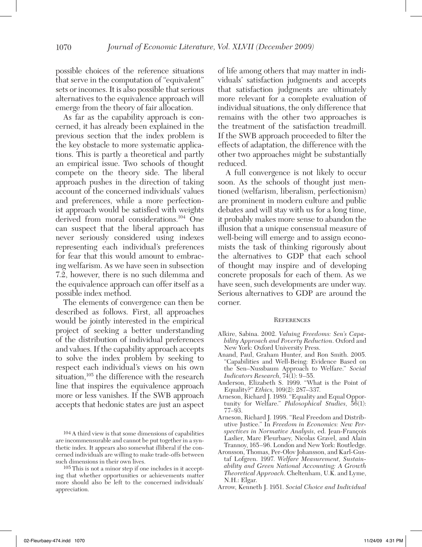possible choices of the reference situations that serve in the computation of "equivalent" sets or incomes. It is also possible that serious alternatives to the equivalence approach will emerge from the theory of fair allocation.

As far as the capability approach is concerned, it has already been explained in the previous section that the index problem is the key obstacle to more systematic applications. This is partly a theoretical and partly an empirical issue. Two schools of thought compete on the theory side. The liberal approach pushes in the direction of taking account of the concerned individuals' values and preferences, while a more perfectionist approach would be satisfied with weights derived from moral considerations.<sup>104</sup> One can suspect that the liberal approach has never seriously considered using indexes representing each individual's preferences for fear that this would amount to embracing welfarism. As we have seen in subsection 7.2, however, there is no such dilemma and the equivalence approach can offer itself as a possible index method.

The elements of convergence can then be described as follows. First, all approaches would be jointly interested in the empirical project of seeking a better understanding of the distribution of individual preferences and values. If the capability approach accepts to solve the index problem by seeking to respect each individual's views on his own situation,<sup>105</sup> the difference with the research line that inspires the equivalence approach more or less vanishes. If the SWB approach accepts that hedonic states are just an aspect

104 A third view is that some dimensions of capabilities are incommensurable and cannot be put together in a synthetic index. It appears also somewhat illiberal if the concerned individuals are willing to make trade-offs between such dimensions in their own lives.

105 This is not a minor step if one includes in it accepting that whether opportunities or achievements matter more should also be left to the concerned individuals' appreciation.

of life among others that may matter in individuals' satisfaction judgments and accepts that satisfaction judgments are ultimately more relevant for a complete evaluation of individual situations, the only difference that remains with the other two approaches is the treatment of the satisfaction treadmill. If the SWB approach proceeded to filter the effects of adaptation, the difference with the other two approaches might be substantially reduced.

A full convergence is not likely to occur soon. As the schools of thought just mentioned (welfarism, liberalism, perfectionism) are prominent in modern culture and public debates and will stay with us for a long time, it probably makes more sense to abandon the illusion that a unique consensual measure of well-being will emerge and to assign economists the task of thinking rigorously about the alternatives to GDP that each school of thought may inspire and of developing concrete proposals for each of them. As we have seen, such developments are under way. Serious alternatives to GDP are around the corner.

#### **REFERENCES**

- Alkire, Sabina. 2002. *Valuing Freedoms: Sen's Capability Approach and Poverty Reduction*. Oxford and New York: Oxford University Press.
- Anand, Paul, Graham Hunter, and Ron Smith. 2005. "Capabilities and Well-Being: Evidence Based on the Sen–Nussbaum Approach to Welfare." *Social Indicators Research*, 74(1): 9–55.
- Anderson, Elizabeth S. 1999. "What is the Point of Equality?" *Ethics*, 109(2): 287–337.
- Arneson, Richard J. 1989. "Equality and Equal Opportunity for Welfare." *Philosophical Studies*, 56(1): 77–93.
- Arneson, Richard J. 1998. "Real Freedom and Distributive Justice." In *Freedom in Economics: New Perspectives in Normative Analysis*, ed. Jean-François Laslier, Marc Fleurbaey, Nicolas Gravel, and Alain Trannoy, 165–96. London and New York: Routledge.
- Aronsson, Thomas, Per-Olov Johansson, and Karl-Gustaf Lofgren. 1997. *Welfare Measurement, Sustainability and Green National Accounting: A Growth Theoretical Approach*. Cheltenham, U.K. and Lyme, N.H.: Elgar.
- Arrow, Kenneth J. 1951. *Social Choice and Individual*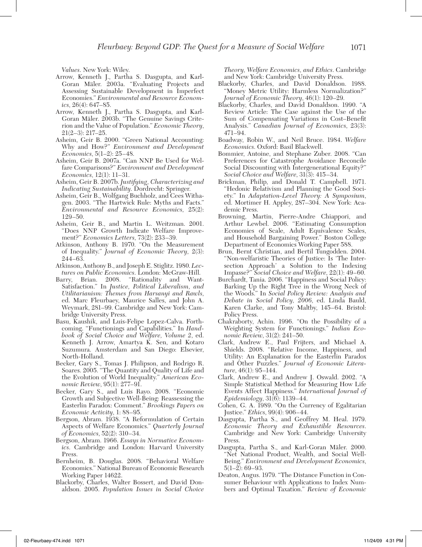*Values*. New York: Wiley.

- Arrow, Kenneth J., Partha S. Dasgupta, and Karl-Goran Mäler. 2003a. "Evaluating Projects and Assessing Sustainable Development in Imperfect Economies." *Environmental and Resource Economics*, 26(4): 647–85.
- Arrow, Kenneth J., Partha S. Dasgupta, and Karl-Goran Mäler. 2003b. "The Genuine Savings Criterion and the Value of Population." *Economic Theory*, 21(2–3): 217–25.
- Asheim, Geir B. 2000. "Green National Accounting: Why and How?" *Environment and Development Economics*, 5(1–2): 25–48.
- Asheim, Geir B. 2007a. "Can NNP Be Used for Welfare Comparisons?" *Environment and Development Economics*, 12(1): 11–31.
- Asheim, Geir B. 2007b. *Justifying, Characterizing and Indicating Sustainability*. Dordrecht: Springer.
- Asheim, Geir B., Wolfgang Buchholz, and Cees Withagen. 2003. "The Hartwick Rule: Myths and Facts." *Environmental and Resource Economics*, 25(2): 129–50.
- Asheim, Geir B., and Martin L. Weitzman. 2001. "Does NNP Growth Indicate Welfare Improvement?" *Economics Letters*, 73(2): 233–39.
- Atkinson, Anthony B. 1970. "On the Measurement of Inequality." *Journal of Economic Theory*, 2(3):  $244 - 63.$
- Atkinson,AnthonyB., and Joseph E. Stiglitz. 1980. *Lectures on Public Economics*. London: McGraw-Hill.
- Barry, Brian. 2008. "Rationality and Want-Satisfaction." In *Justice, Political Liberalism, and Utilitarianism: Themes from Harsanyi and Rawls*, ed. Marc Fleurbaey, Maurice Salles, and John A. Weymark, 281–99. Cambridge and New York: Cambridge University Press.
- Basu, Kaushik, and Luis-Felipe Lopez-Calva. Forthcoming. "Functionings and Capabilities." In *Handbook of Social Choice and Welfare, Volume 2*, ed. Kenneth J. Arrow, Amartya K. Sen, and Kotaro Suzumura. Amsterdam and San Diego: Elsevier, North-Holland.
- Becker, Gary S., Tomas J. Philipson, and Rodrigo R. Soares. 2005. "The Quantity and Quality of Life and the Evolution of World Inequality." *American Economic Review*, 95(1): 277–91.
- Becker, Gary S., and Luis Rayo. 2008. "Economic Growth and Subjective Well-Being: Reassessing the Easterlin Paradox: Comment." *Brookings Papers on Economic Activity*, 1: 88–95.
- Bergson, Abram. 1938. "A Reformulation of Certain Aspects of Welfare Economics." *Quarterly Journal of Economics*, 52(2): 310–34.
- Bergson, Abram. 1966. *Essays in Normative Economics*. Cambridge and London: Harvard University Press.
- Bernheim, B. Douglas. 2008. "Behavioral Welfare Economics." National Bureau of Economic Research Working Paper 14622.
- Blackorby, Charles, Walter Bossert, and David Donaldson. 2005. *Population Issues in Social Choice*

*Theory, Welfare Economics, and Ethics*. Cambridge and New York: Cambridge University Press.

- Blackorby, Charles, and David Donaldson. 1988. "Money Metric Utility: Harmless Normalization?" *Journal of Economic Theory*, 46(1): 120–29.
- Blackorby, Charles, and David Donaldson. 1990. "A Review Article: The Case against the Use of the Sum of Compensating Variations in Cost–Benefit Analysis." *Canadian Journal of Economics*, 23(3): 471–94.
- Boadway, Robin W., and Neil Bruce. 1984. *Welfare Economics*. Oxford: Basil Blackwell.
- Bommier, Antoine, and Stephane Zuber. 2008. "Can Preferences for Catastrophe Avoidance Reconcile Social Discounting with Intergenerational Equity?" *Social Choice and Welfare*, 31(3): 415–34.
- Brickman, Philip, and Donald T. Campbell. 1971. "Hedonic Relativism and Planning the Good Society." In *Adaptation-Level Theory: A Symposium*, ed. Mortimer H. Appley, 287–304. New York: Academic Press.
- Browning, Martin, Pierre-Andre Chiappori, and Arthur Lewbel. 2006. "Estimating Consumption Economies of Scale, Adult Equivalence Scales, and Household Bargaining Power." Boston College Department of Economics Working Paper 588.
- Brun, Bernt Christian, and Bertil Tungodden. 2004. "Non-welfaristic Theories of Justice: Is 'The Intersection Approach' a Solution to the Indexing Impasse?" *Social Choice and Welfare*, 22(1): 49–60.
- Burchardt, Tania. 2006. "Happiness and Social Policy: Barking Up the Right Tree in the Wrong Neck of the Woods." In *Social Policy Review: Analysis and Debate in Social Policy, 2006*, ed. Linda Bauld, Karen Clarke, and Tony Maltby, 145–64. Bristol: Policy Press.
- Chakraborty, Achin. 1996. "On the Possibility of a Weighting System for Functionings." *Indian Economic Review*, 31(2): 241–50.
- Clark, Andrew E., Paul Frijters, and Michael A. Shields. 2008. "Relative Income, Happiness, and Utility: An Explanation for the Easterlin Paradox and Other Puzzles." *Journal of Economic Literature*, 46(1): 95–144.
- Clark, Andrew E., and Andrew J. Oswald. 2002. "A Simple Statistical Method for Measuring How Life Events Affect Happiness." *International Journal of Epidemiology*, 31(6): 1139–44.
- Cohen, G. A. 1989. "On the Currency of Egalitarian Justice." *Ethics*, 99(4): 906–44.
- Dasgupta, Partha S., and Geoffrey M. Heal. 1979. *Economic Theory and Exhaustible Resources*. Cambridge and New York: Cambridge University Press.
- Dasgupta, Partha S., and Karl-Goran Mäler. 2000. "Net National Product, Wealth, and Social Well-Being." *Environment and Development Economics*,  $5(1-2): 69-93.$
- Deaton, Angus. 1979. "The Distance Function in Consumer Behaviour with Applications to Index Numbers and Optimal Taxation." *Review of Economic*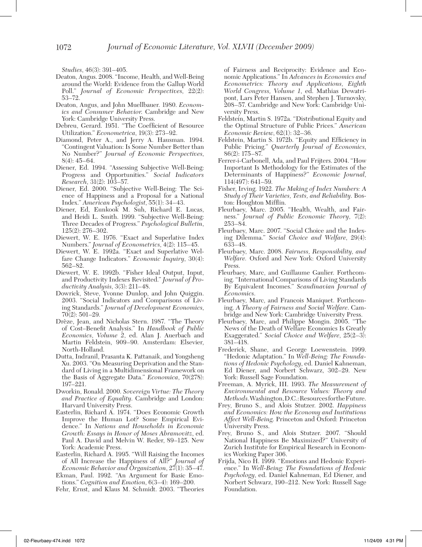*Studies*, 46(3): 391–405.

- Deaton, Angus. 2008. "Income, Health, and Well-Being around the World: Evidence from the Gallup World Poll." *Journal of Economic Perspectives*, 22(2): 53–72.
- Deaton, Angus, and John Muellbauer. 1980. *Economics and Consumer Behavior*. Cambridge and New York: Cambridge University Press.
- Debreu, Gerard. 1951. "The Coefficient of Resource Utilization." *Econometrica*, 19(3): 273–92.
- Diamond, Peter A., and Jerry A. Hausman. 1994. "Contingent Valuation: Is Some Number Better than No Number?" *Journal of Economic Perspectives*, 8(4): 45–64.
- Diener, Ed. 1994. "Assessing Subjective Well-Being: Progress and Opportunities." *Social Indicators Research,* 31(2): 103–57.
- Diener, Ed. 2000. "Subjective Well-Being: The Science of Happiness and a Proposal for a National Index." *American Psychologist*, 55(1): 34–43.
- Diener, Ed, Eunkook M. Suh, Richard E. Lucas, and Heidi L. Smith. 1999. "Subjective Well-Being: Three Decades of Progress." *Psychological Bulletin*, 125(2): 276–302.
- Diewert, W. E. 1976. "Exact and Superlative Index Numbers." *Journal of Econometrics*, 4(2): 115–45.
- Diewert, W. E. 1992a. "Exact and Superlative Welfare Change Indicators." *Economic Inquiry*, 30(4): 562–82.
- Diewert, W. E. 1992b. "Fisher Ideal Output, Input, and Productivity Indexes Revisited." *Journal of Productivity Analysis*, 3(3): 211–48.
- Dowrick, Steve, Yvonne Dunlop, and John Quiggin. 2003. "Social Indicators and Comparisons of Living Standards." *Journal of Development Economics*, 70(2): 501–29.
- Drèze, Jean, and Nicholas Stern. 1987. "The Theory of Cost–Benefit Analysis." In *Handbook of Public Economics, Volume 2*, ed. Alan J. Auerbach and Martin Feldstein, 909–90. Amsterdam: Elsevier, North-Holland.
- Dutta, Indranil, Prasanta K. Pattanaik, and Yongsheng Xu. 2003. "On Measuring Deprivation and the Standard of Living in a Multidimensional Framework on the Basis of Aggregate Data." *Economica*, 70(278): 197–221.
- Dworkin, Ronald. 2000. *Sovereign Virtue: The Theory and Practice of Equality*. Cambridge and London: Harvard University Press.
- Easterlin, Richard A. 1974. "Does Economic Growth Improve the Human Lot? Some Empirical Evidence." In *Nations and Households in Economic Growth: Essays in Honor of Moses Abramovitz*, ed. Paul A. David and Melvin W. Reder, 89–125. New York: Academic Press.
- Easterlin, Richard A. 1995. "Will Raising the Incomes of All Increase the Happiness of All?" *Journal of Economic Behavior and Organization*, 27(1): 35–47.
- Ekman, Paul. 1992. "An Argument for Basic Emotions." *Cognition and Emotion*, 6(3–4): 169–200.
- Fehr, Ernst, and Klaus M. Schmidt. 2003. "Theories

of Fairness and Reciprocity: Evidence and Economic Applications." In *Advances in Economics and Econometrics: Theory and Applications, Eighth World Congress, Volume 1*, ed. Mathias Dewatripont, Lars Peter Hansen, and Stephen J. Turnovsky, 208–57. Cambridge and New York: Cambridge University Press.

- Feldstein, Martin S. 1972a. "Distributional Equity and the Optimal Structure of Public Prices." *American Economic Review*, 62(1): 32–36.
- Feldstein, Martin S. 1972b. "Equity and Efficiency in Public Pricing." *Quarterly Journal of Economics*, 86(2): 175–87.
- Ferrer-i-Carbonell, Ada, and Paul Frijters. 2004. "How Important Is Methodology for the Estimates of the Determinants of Happiness?" *Economic Journal*, 114(497): 641–59.
- Fisher, Irving. 1922. *The Making of Index Numbers: A Study of Their Varieties, Tests, and Reliability*. Boston: Houghton Mifflin.
- Fleurbaey, Marc. 2005. "Health, Wealth, and Fairness." *Journal of Public Economic Theory*, 7(2): 253–84.
- Fleurbaey, Marc. 2007. "Social Choice and the Indexing Dilemma." *Social Choice and Welfare*, 29(4): 633–48.
- Fleurbaey, Marc. 2008. *Fairness, Responsibility, and Welfare.* Oxford and New York: Oxford University Press.
- Fleurbaey, Marc, and Guillaume Gaulier. Forthcoming. "International Comparisons of Living Standards By Equivalent Incomes." *Scandinavian Journal of Economics*.
- Fleurbaey, Marc, and Francois Maniquet. Forthcoming. *A Theory of Fairness and Social Welfare*. Cambridge and New York: Cambridge University Press.
- Fleurbaey, Marc, and Philippe Mongin. 2005. "The News of the Death of Welfare Economics Is Greatly Exaggerated." *Social Choice and Welfare*, 25(2–3): 381–418.
- Frederick, Shane, and George Loewenstein. 1999. "Hedonic Adaptation." In *Well-Being: The Foundations of Hedonic Psychology*, ed. Daniel Kahneman, Ed Diener, and Norbert Schwarz, 302–29. New York: Russell Sage Foundation.
- Freeman, A. Myrick, III. 1993. *The Measurement of Environmental and Resource Values: Theory and Methods*.Washington,D.C.:ResourcesfortheFuture.
- Frey, Bruno S., and Alois Stutzer. 2002. *Happiness and Economics: How the Economy and Institutions Affect Well-Being*. Princeton and Oxford: Princeton University Press.
- Frey, Bruno S., and Alois Stutzer. 2007. "Should National Happiness Be Maximized?" University of Zurich Institute for Empirical Research in Economics Working Paper 306.
- Frijda, Nico H. 1999. "Emotions and Hedonic Experience." In *Well-Being: The Foundations of Hedonic Psychology*, ed. Daniel Kahneman, Ed Diener, and Norbert Schwarz, 190–212. New York: Russell Sage Foundation.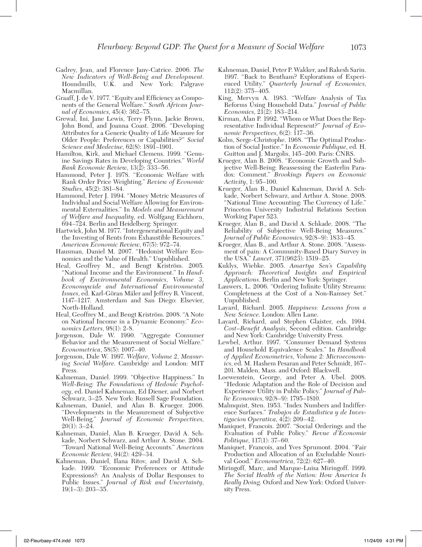- Gadrey, Jean, and Florence Jany-Catrice. 2006. *The New Indicators of Well-Being and Development*. Houndmills, U.K. and New York: Palgrave Macmillan.
- Graaff, J. de V. 1977. "Equity and Efficiency as Components of the General Welfare." *South African Journal of Economics*, 45(4): 362–75.
- Grewal, Ini, Jane Lewis, Terry Flynn, Jackie Brown, John Bond, and Joanna Coast. 2006. "Developing Attributes for a Generic Quality of Life Measure for Older People: Preferences or Capabilities?" *Social Science and Medecine*, 62(8): 1891–1901.
- Hamilton, Kirk, and Michael Clemens. 1999. "Genuine Savings Rates in Developing Countries." *World Bank Economic Review*, 13(2): 333–56.
- Hammond, Peter J. 1978. "Economic Welfare with Rank Order Price Weighting." *Review of Economic Studies*, 45(2): 381–84.
- Hammond, Peter J. 1994. "Money Metric Measures of Individual and Social Welfare Allowing for Environmental Externalities." In *Models and Measurement of Welfare and Inequality*, ed. Wolfgang Eichhorn, 694–724. Berlin and Heidelberg: Springer.
- Hartwick, John M. 1977. "Intergenerational Equity and the Investing of Rents from Exhaustible Resources." *American Economic Review*, 67(5): 972–74.
- Hausman, Daniel M. 2007. "Hedonist Welfare Economics and the Value of Health." Unpublished.
- Heal, Geoffrey M., and Bengt Kriström. 2005. "National Income and the Environment." In *Handbook of Environmental Economics, Volume 3, Economywide and International Environmental Issues*, ed. Karl-Göran Mäler and Jeffrey R. Vincent, 1147–1217. Amsterdam and San Diego: Elsevier, North-Holland.
- Heal, Geoffrey M., and Bengt Kriström. 2008. "A Note on National Income in a Dynamic Economy." *Economics Letters*, 98(1): 2-8.
- Jorgenson, Dale W. 1990. "Aggregate Consumer Behavior and the Measurement of Social Welfare." *Econometrica*, 58(5): 1007–40.
- Jorgenson, Dale W. 1997. *Welfare, Volume 2, Measuring Social Welfare*. Cambridge and London: MIT Press.
- Kahneman, Daniel. 1999. "Objective Happiness." In *Well-Being: The Foundations of Hedonic Psychology*, ed. Daniel Kahneman, Ed Diener, and Norbert Schwarz, 3–25. New York: Russell Sage Foundation.
- Kahneman, Daniel, and Alan B. Krueger. 2006. "Developments in the Measurement of Subjective Well-Being." *Journal of Economic Perspectives*,  $20(1): 3-24.$
- Kahneman, Daniel, Alan B. Krueger, David A. Schkade, Norbert Schwarz, and Arthur A. Stone. 2004. "Toward National Well-Being Accounts." *American Economic Review*, 94(2): 429–34.
- Kahneman, Daniel, Ilana Ritov, and David A. Schkade. 1999. "Economic Preferences or Attitude Expressions?: An Analysis of Dollar Responses to Public Issues." *Journal of Risk and Uncertainty*,  $19(1-3)$ :  $203-35$ .
- Kahneman, Daniel, Peter P. Wakker, and Rakesh Sarin. 1997. "Back to Bentham? Explorations of Experienced Utility." *Quarterly Journal of Economics*, 112(2): 375–405.
- King, Mervyn A. 1983. "Welfare Analysis of Tax Reforms Using Household Data." *Journal of Public Economics*, 21(2): 183–214.
- Kirman, Alan P. 1992. "Whom or What Does the Representative Individual Represent?" *Journal of Economic Perspectives*, 6(2): 117–36.
- Kolm, Serge-Christophe. 1968. "The Optimal Production of Social Justice." In *Economie Publique*, ed. H. Guitton and J. Margolis, 145–200. Paris: CNRS.
- Krueger, Alan B. 2008. "Economic Growth and Subjective Well-Being: Reassessing the Easterlin Paradox: Comment." *Brookings Papers on Economic Activity*, 1: 95–100.
- Krueger, Alan B., Daniel Kahneman, David A. Schkade, Norbert Schwarz, and Arthur A. Stone. 2008. "National Time Accounting: The Currency of Life." Princeton University Industrial Relations Section Working Paper 523.
- Krueger, Alan B., and David A. Schkade. 2008. "The Reliability of Subjective Well-Being Measures." *Journal of Public Economics*, 92(8–9): 1833–45.
- Krueger, Alan B., and Arthur A. Stone. 2008. "Assessment of pain: A Community-Based Diary Survey in the USA." *Lancet*, 371(9623): 1519–25.
- Kuklys, Wiebke. 2005. *Amartya Sen's Capability Approach: Theoretical Insights and Empirical Applications*. Berlin and New York: Springer.
- Lauwers, L. 2006. "Ordering Infinite Utility Streams: Completeness at the Cost of a Non-Ramsey Set." Unpublished.
- Layard, Richard. 2005. *Happiness: Lessons from a New Science*. London: Allen Lane.
- Layard, Richard, and Stephen Glaister, eds. 1994. *Cost–Benefit Analysis*, Second edition. Cambridge and New York: Cambridge University Press.
- Lewbel, Arthur. 1997. "Consumer Demand Systems and Household Equivalence Scales." In *Handbook of Applied Econometrics, Volume 2: Microeconomics*, ed. M. Hashem Pesaran and Peter Schmidt, 167– 201. Malden, Mass. and Oxford: Blackwell.
- Loewenstein, George, and Peter A. Ubel. 2008. "Hedonic Adaptation and the Role of Decision and Experience Utility in Public Policy." *Journal of Public Economics*, 92(8–9): 1795–1810.
- Malmquist, Sten. 1953. "Index Numbers and Indifference Surfaces." *Trabajos de Estadistica y de Investigacion Operativa*, 4(2): 209–42.
- Maniquet, Francois. 2007. "Social Orderings and the Evaluation of Public Policy." *Revue d'Economie Politique*, 117(1): 37–60.
- Maniquet, Francois, and Yves Sprumont. 2004. "Fair Production and Allocation of an Excludable Nonrival Good." *Econometrica*, 72(2): 627–40.
- Miringoff, Marc, and Marque-Luisa Miringoff. 1999. *The Social Health of the Nation: How America Is Really Doing*. Oxford and New York: Oxford University Press.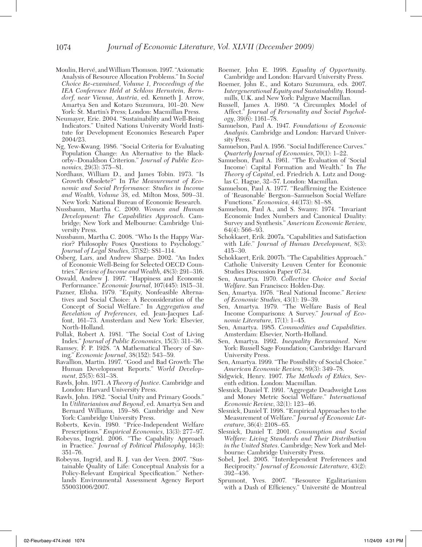- Moulin, Hervé, andWilliam Thomson. 1997."Axiomatic Analysis of Resource Allocation Problems." In *Social Choice Re-examined, Volume 1, Proceedings of the IEA Conference Held at Schloss Hernstein, Berndorf, near Vienna, Austria*, ed. Kenneth J. Arrow, Amartya Sen and Kotaro Suzumura, 101–20. New York: St. Martin's Press; London: Macmillan Press.
- Neumayer, Eric. 2004. "Sustainability and Well-Being Indicators." United Nations University World Institute for Development Economics Research Paper 2004/23.
- Ng, Yew-Kwang. 1986. "Social Criteria for Evaluating Population Change: An Alternative to the Blackorby–Donaldson Criterion." *Journal of Public Economics*, 29(3): 375–81.
- Nordhaus, William D., and James Tobin. 1973. "Is Growth Obsolete?" In *The Measurement of Economic and Social Performance: Studies in Income and Wealth, Volume 38*, ed. Milton Moss, 509–31. New York: National Bureau of Economic Research.
- Nussbaum, Martha C. 2000. *Women and Human Development: The Capabilities Approach*. Cambridge; New York and Melbourne: Cambridge University Press.
- Nussbaum, Martha C. 2008. "Who Is the Happy Warrior? Philosophy Poses Questions to Psychology." *Journal of Legal Studies*, 37(S2): S81–114.
- Osberg, Lars, and Andrew Sharpe. 2002. "An Index of Economic Well-Being for Selected OECD Countries." *Review of Income and Wealth*, 48(3): 291–316.
- Oswald, Andrew J. 1997. "Happiness and Economic Performance." *Economic Journal*, 107(445): 1815–31.
- Pazner, Elisha. 1979. "Equity, Nonfeasible Alternatives and Social Choice: A Reconsideration of the Concept of Social Welfare." In *Aggregation and Revelation of Preferences*, ed. Jean-Jacques Laffont, 161–73. Amsterdam and New York: Elsevier, North-Holland.
- Pollak, Robert A. 1981. "The Social Cost of Living Index." *Journal of Public Economics*, 15(3): 311–36.
- Ramsey, F. P. 1928. "A Mathematical Theory of Saving." *Economic Journal*, 38(152): 543–59.
- Ravallion, Martin. 1997. "Good and Bad Growth: The Human Development Reports." *World Development*, 25(5): 631–38.
- Rawls, John. 1971. *A Theory of Justice*. Cambridge and London: Harvard University Press.
- Rawls, John. 1982. "Social Unity and Primary Goods." In *Utilitarianism and Beyond*, ed. Amartya Sen and Bernard Williams, 159–86. Cambridge and New York: Cambridge University Press.
- Roberts, Kevin. 1980. "Price-Independent Welfare Prescriptions." *Empirical Economics*, 13(3): 277–97.
- Robeyns, Ingrid. 2006. "The Capability Approach in Practice." *Journal of Political Philosophy*, 14(3): 351–76.
- Robeyns, Ingrid, and R. J. van der Veen. 2007. "Sustainable Quality of Life: Conceptual Analysis for a Policy-Relevant Empirical Specification." Netherlands Environmental Assessment Agency Report 550031006/2007.
- Roemer, John E. 1998. *Equality of Opportunity*. Cambridge and London: Harvard University Press.
- Roemer, John E., and Kotaro Suzumura, eds. 2007. *Intergenerational Equity and Sustainability*. Houndmills, U.K. and New York: Palgrave Macmillan.
- Russell, James A. 1980. "A Circumplex Model of Affect." *Journal of Personality and Social Psychology*, 39(6): 1161–78.
- Samuelson, Paul A. 1947. *Foundations of Economic Analysis*. Cambridge and London: Harvard University Press.
- Samuelson, Paul A. 1956. "Social Indifference Curves." *Quarterly Journal of Economics*, 70(1): 1–22.
- Samuelson, Paul A. 1961. "The Evaluation of 'Social Income': Capital Formation and Wealth." In *The Theory of Capital*, ed. Friedrich A. Lutz and Douglas C. Hague, 32–57. London: Macmillan.
- Samuelson, Paul A. 1977. "Reaffirming the Existence of 'Reasonable' Bergson–Samuelson Social Welfare Functions." *Economica*, 44(173): 81–88.
- Samuelson, Paul A., and S. Swamy. 1974. "Invariant Economic Index Numbers and Canonical Duality: Survey and Synthesis." *American Economic Review*, 64(4): 566–93.
- Schokkaert, Erik. 2007a. "Capabilities and Satisfaction with Life." *Journal of Human Development*, 8(3): 415–30.
- Schokkaert, Erik. 2007b. "The Capabilities Approach." Catholic University Leuven Center for Economic Studies Discussion Paper 07.34.
- Sen, Amartya. 1970. *Collective Choice and Social Welfare*. San Francisco: Holden-Day.
- Sen, Amartya. 1976. "Real National Income." *Review of Economic Studies*, 43(1): 19–39.
- Sen, Amartya. 1979. "The Welfare Basis of Real Income Comparisons: A Survey." *Journal of Economic Literature*, 17(1): 1–45.
- Sen, Amartya. 1985. *Commodities and Capabilities*. Amsterdam: Elsevier, North-Holland.
- Sen, Amartya. 1992. *Inequality Reexamined*. New York: Russell Sage Foundation; Cambridge: Harvard University Press.
- Sen, Amartya. 1999. "The Possibility of Social Choice." *American Economic Review*, 89(3): 349–78.
- Sidgwick, Henry. 1907. *The Methods of Ethics*, Seventh edition. London: Macmillan.
- Slesnick, Daniel T. 1991. "Aggregate Deadweight Loss and Money Metric Social Welfare." *International Economic Review*, 32(1): 123–46.
- Slesnick, Daniel T. 1998. "Empirical Approaches to the Measurement of Welfare." *Journal of Economic Literature*, 36(4): 2108–65.
- Slesnick, Daniel T. 2001. *Consumption and Social Welfare: Living Standards and Their Distribution in the United States*. Cambridge; New York and Melbourne: Cambridge University Press.
- Sobel, Joel. 2005. "Interdependent Preferences and Reciprocity." *Journal of Economic Literature*, 43(2): 392–436.
- Sprumont, Yves. 2007. "Resource Egalitarianism with a Dash of Efficiency." Université de Montreal